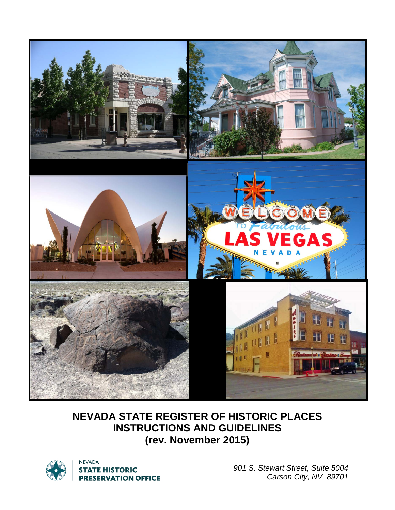

# **NEVADA STATE REGISTER OF HISTORIC PLACES INSTRUCTIONS AND GUIDELINES (rev. November 2015)**



**NEVADA STATE HISTORIC PRESERVATION OFFICE** 

*901 S. Stewart Street, Suite 5004 Carson City, NV 89701*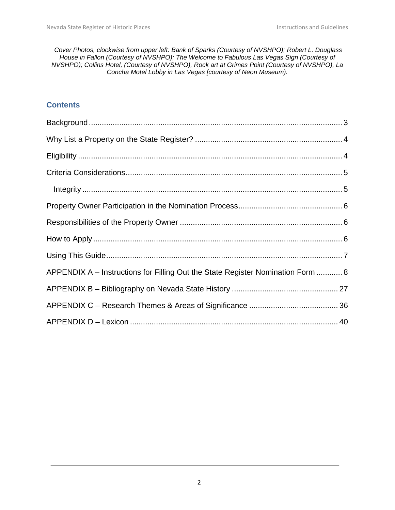*Cover Photos, clockwise from upper left: Bank of Sparks (Courtesy of NVSHPO); Robert L. Douglass House in Fallon (Courtesy of NVSHPO); The Welcome to Fabulous Las Vegas Sign (Courtesy of NVSHPO); Collins Hotel, (Courtesy of NVSHPO), Rock art at Grimes Point (Courtesy of NVSHPO), La Concha Motel Lobby in Las Vegas [courtesy of Neon Museum).*

#### **Contents**

| APPENDIX A – Instructions for Filling Out the State Register Nomination Form  8 |
|---------------------------------------------------------------------------------|
|                                                                                 |
|                                                                                 |
|                                                                                 |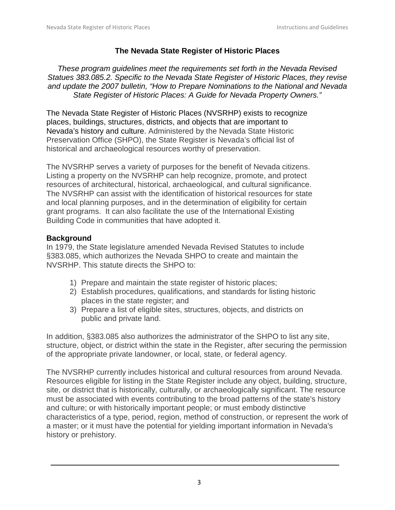# **The Nevada State Register of Historic Places**

*These program guidelines meet the requirements set forth in the Nevada Revised Statues 383.085.2. Specific to the Nevada State Register of Historic Places, they revise and update the 2007 bulletin, "How to Prepare Nominations to the National and Nevada State Register of Historic Places: A Guide for Nevada Property Owners."* 

The Nevada State Register of Historic Places (NVSRHP) exists to recognize places, buildings, structures, districts, and objects that are important to Nevada's history and culture. Administered by the Nevada State Historic Preservation Office (SHPO), the State Register is Nevada's official list of historical and archaeological resources worthy of preservation.

The NVSRHP serves a variety of purposes for the benefit of Nevada citizens. Listing a property on the NVSRHP can help recognize, promote, and protect resources of architectural, historical, archaeological, and cultural significance. The NVSRHP can assist with the identification of historical resources for state and local planning purposes, and in the determination of eligibility for certain grant programs. It can also facilitate the use of the International Existing Building Code in communities that have adopted it.

# <span id="page-2-0"></span>**Background**

In 1979, the State legislature amended Nevada Revised Statutes to include §383.085, which authorizes the Nevada SHPO to create and maintain the NVSRHP. This statute directs the SHPO to:

- 1) Prepare and maintain the state register of historic places;
- 2) Establish procedures, qualifications, and standards for listing historic places in the state register; and
- 3) Prepare a list of eligible sites, structures, objects, and districts on public and private land.

In addition, §383.085 also authorizes the administrator of the SHPO to list any site, structure, object, or district within the state in the Register, after securing the permission of the appropriate private landowner, or local, state, or federal agency.

The NVSRHP currently includes historical and cultural resources from around Nevada. Resources eligible for listing in the State Register include any object, building, structure, site, or district that is historically, culturally, or archaeologically significant. The resource must be associated with events contributing to the broad patterns of the state's history and culture; or with historically important people; or must embody distinctive characteristics of a type, period, region, method of construction, or represent the work of a master; or it must have the potential for yielding important information in Nevada's history or prehistory.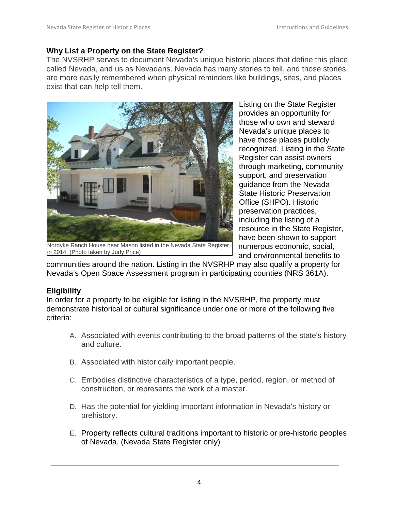#### <span id="page-3-0"></span>**Why List a Property on the State Register?**

The NVSRHP serves to document Nevada's unique historic places that define this place called Nevada, and us as Nevadans. Nevada has many stories to tell, and those stories are more easily remembered when physical reminders like buildings, sites, and places exist that can help tell them.



Nordyke Ranch House near Mason listed in the Nevada State Register in 2014. (Photo taken by Judy Price)

Listing on the State Register provides an opportunity for those who own and steward Nevada's unique places to have those places publicly recognized. Listing in the State Register can assist owners through marketing, community support, and preservation guidance from the Nevada State Historic Preservation Office (SHPO). Historic preservation practices, including the listing of a resource in the State Register, have been shown to support numerous economic, social, and environmental benefits to

communities around the nation. Listing in the NVSRHP may also qualify a property for Nevada's Open Space Assessment program in participating counties (NRS 361A).

#### <span id="page-3-1"></span>**Eligibility**

In order for a property to be eligible for listing in the NVSRHP, the property must demonstrate historical or cultural significance under one or more of the following five criteria:

- A. Associated with events contributing to the broad patterns of the state's history and culture.
- B. Associated with historically important people.
- C. Embodies distinctive characteristics of a type, period, region, or method of construction, or represents the work of a master.
- D. Has the potential for yielding important information in Nevada's history or prehistory.
- E. Property reflects cultural traditions important to historic or pre-historic peoples of Nevada. (Nevada State Register only)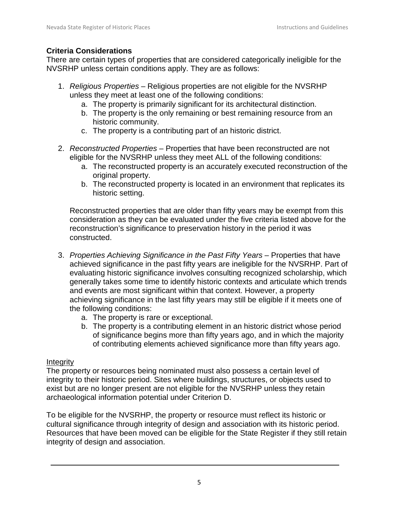#### <span id="page-4-0"></span>**Criteria Considerations**

There are certain types of properties that are considered categorically ineligible for the NVSRHP unless certain conditions apply. They are as follows:

- 1. *Religious Properties* Religious properties are not eligible for the NVSRHP unless they meet at least one of the following conditions:
	- a. The property is primarily significant for its architectural distinction.
	- b. The property is the only remaining or best remaining resource from an historic community.
	- c. The property is a contributing part of an historic district.
- 2. *Reconstructed Properties* Properties that have been reconstructed are not eligible for the NVSRHP unless they meet ALL of the following conditions:
	- a. The reconstructed property is an accurately executed reconstruction of the original property.
	- b. The reconstructed property is located in an environment that replicates its historic setting.

Reconstructed properties that are older than fifty years may be exempt from this consideration as they can be evaluated under the five criteria listed above for the reconstruction's significance to preservation history in the period it was constructed.

- 3. *Properties Achieving Significance in the Past Fifty Years* Properties that have achieved significance in the past fifty years are ineligible for the NVSRHP. Part of evaluating historic significance involves consulting recognized scholarship, which generally takes some time to identify historic contexts and articulate which trends and events are most significant within that context. However, a property achieving significance in the last fifty years may still be eligible if it meets one of the following conditions:
	- a. The property is rare or exceptional.
	- b. The property is a contributing element in an historic district whose period of significance begins more than fifty years ago, and in which the majority of contributing elements achieved significance more than fifty years ago.

#### <span id="page-4-1"></span>**Integrity**

The property or resources being nominated must also possess a certain level of integrity to their historic period. Sites where buildings, structures, or objects used to exist but are no longer present are not eligible for the NVSRHP unless they retain archaeological information potential under Criterion D.

To be eligible for the NVSRHP, the property or resource must reflect its historic or cultural significance through integrity of design and association with its historic period. Resources that have been moved can be eligible for the State Register if they still retain integrity of design and association.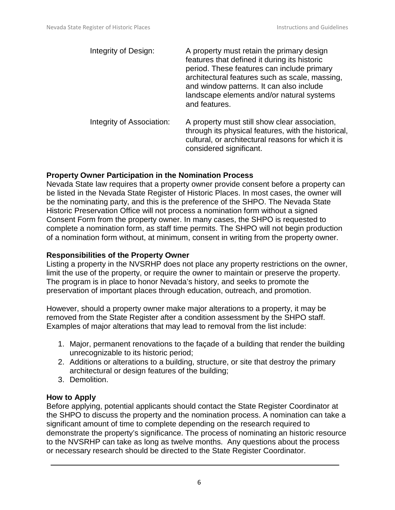| Integrity of Design:      | A property must retain the primary design<br>features that defined it during its historic<br>period. These features can include primary<br>architectural features such as scale, massing,<br>and window patterns. It can also include<br>landscape elements and/or natural systems<br>and features. |
|---------------------------|-----------------------------------------------------------------------------------------------------------------------------------------------------------------------------------------------------------------------------------------------------------------------------------------------------|
| Integrity of Association: | A property must still show clear association,<br>through its physical features, with the historical,<br>cultural, or architectural reasons for which it is<br>considered significant.                                                                                                               |

#### <span id="page-5-0"></span>**Property Owner Participation in the Nomination Process**

Nevada State law requires that a property owner provide consent before a property can be listed in the Nevada State Register of Historic Places. In most cases, the owner will be the nominating party, and this is the preference of the SHPO. The Nevada State Historic Preservation Office will not process a nomination form without a signed Consent Form from the property owner. In many cases, the SHPO is requested to complete a nomination form, as staff time permits. The SHPO will not begin production of a nomination form without, at minimum, consent in writing from the property owner.

#### <span id="page-5-1"></span>**Responsibilities of the Property Owner**

Listing a property in the NVSRHP does not place any property restrictions on the owner, limit the use of the property, or require the owner to maintain or preserve the property. The program is in place to honor Nevada's history, and seeks to promote the preservation of important places through education, outreach, and promotion.

However, should a property owner make major alterations to a property, it may be removed from the State Register after a condition assessment by the SHPO staff. Examples of major alterations that may lead to removal from the list include:

- 1. Major, permanent renovations to the façade of a building that render the building unrecognizable to its historic period;
- 2. Additions or alterations to a building, structure, or site that destroy the primary architectural or design features of the building;
- 3. Demolition.

#### <span id="page-5-2"></span>**How to Apply**

Before applying, potential applicants should contact the State Register Coordinator at the SHPO to discuss the property and the nomination process. A nomination can take a significant amount of time to complete depending on the research required to demonstrate the property's significance. The process of nominating an historic resource to the NVSRHP can take as long as twelve months. Any questions about the process or necessary research should be directed to the State Register Coordinator.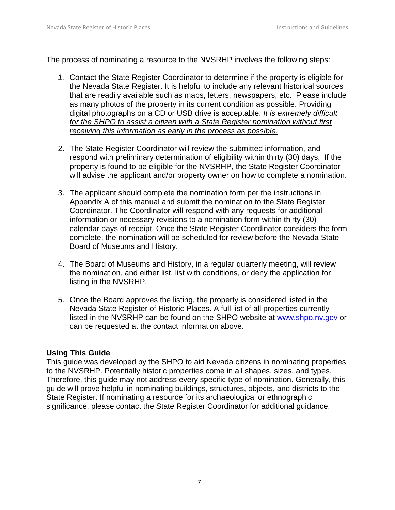The process of nominating a resource to the NVSRHP involves the following steps:

- *1.* Contact the State Register Coordinator to determine if the property is eligible for the Nevada State Register. It is helpful to include any relevant historical sources that are readily available such as maps, letters, newspapers, etc. Please include as many photos of the property in its current condition as possible. Providing digital photographs on a CD or USB drive is acceptable. *It is extremely difficult for the SHPO to assist a citizen with a State Register nomination without first receiving this information as early in the process as possible.*
- 2. The State Register Coordinator will review the submitted information, and respond with preliminary determination of eligibility within thirty (30) days. If the property is found to be eligible for the NVSRHP, the State Register Coordinator will advise the applicant and/or property owner on how to complete a nomination.
- 3. The applicant should complete the nomination form per the instructions in Appendix A of this manual and submit the nomination to the State Register Coordinator. The Coordinator will respond with any requests for additional information or necessary revisions to a nomination form within thirty (30) calendar days of receipt. Once the State Register Coordinator considers the form complete, the nomination will be scheduled for review before the Nevada State Board of Museums and History.
- 4. The Board of Museums and History, in a regular quarterly meeting, will review the nomination, and either list, list with conditions, or deny the application for listing in the NVSRHP.
- 5. Once the Board approves the listing, the property is considered listed in the Nevada State Register of Historic Places. A full list of all properties currently listed in the NVSRHP can be found on the SHPO website at [www.shpo.nv.gov](http://www.shpo.nv.gov/) or can be requested at the contact information above.

#### <span id="page-6-0"></span>**Using This Guide**

This guide was developed by the SHPO to aid Nevada citizens in nominating properties to the NVSRHP. Potentially historic properties come in all shapes, sizes, and types. Therefore, this guide may not address every specific type of nomination. Generally, this guide will prove helpful in nominating buildings, structures, objects, and districts to the State Register. If nominating a resource for its archaeological or ethnographic significance, please contact the State Register Coordinator for additional guidance.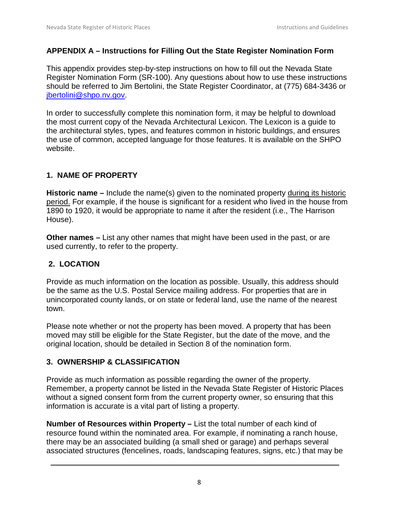#### <span id="page-7-0"></span>**APPENDIX A – Instructions for Filling Out the State Register Nomination Form**

This appendix provides step-by-step instructions on how to fill out the Nevada State Register Nomination Form (SR-100). Any questions about how to use these instructions should be referred to Jim Bertolini, the State Register Coordinator, at (775) 684-3436 or [jbertolini@shpo.nv.gov.](mailto:jbertolini@shpo.nv.gov)

In order to successfully complete this nomination form, it may be helpful to download the most current copy of the Nevada Architectural Lexicon. The Lexicon is a guide to the architectural styles, types, and features common in historic buildings, and ensures the use of common, accepted language for those features. It is available on the SHPO website.

#### **1. NAME OF PROPERTY**

**Historic name** – Include the name(s) given to the nominated property during its historic period. For example, if the house is significant for a resident who lived in the house from 1890 to 1920, it would be appropriate to name it after the resident (i.e., The Harrison House).

**Other names –** List any other names that might have been used in the past, or are used currently, to refer to the property.

#### **2. LOCATION**

Provide as much information on the location as possible. Usually, this address should be the same as the U.S. Postal Service mailing address. For properties that are in unincorporated county lands, or on state or federal land, use the name of the nearest town.

Please note whether or not the property has been moved. A property that has been moved may still be eligible for the State Register, but the date of the move, and the original location, should be detailed in Section 8 of the nomination form.

#### **3. OWNERSHIP & CLASSIFICATION**

Provide as much information as possible regarding the owner of the property. Remember, a property cannot be listed in the Nevada State Register of Historic Places without a signed consent form from the current property owner, so ensuring that this information is accurate is a vital part of listing a property.

**Number of Resources within Property –** List the total number of each kind of resource found within the nominated area. For example, if nominating a ranch house, there may be an associated building (a small shed or garage) and perhaps several associated structures (fencelines, roads, landscaping features, signs, etc.) that may be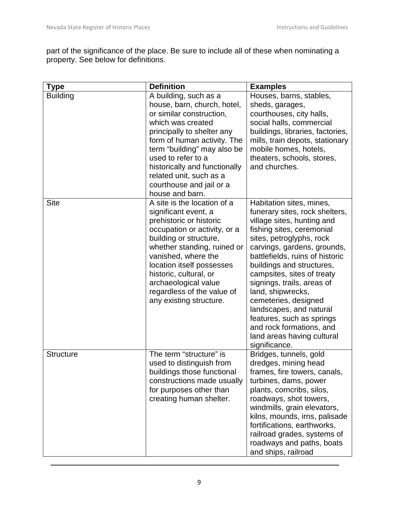part of the significance of the place. Be sure to include all of these when nominating a property. See below for definitions.

| <b>Type</b>      | <b>Definition</b>                                                                                                                                                                                                                                                                                                                      | <b>Examples</b>                                                                                                                                                                                                                                                                                                                                                                                                                                                                              |
|------------------|----------------------------------------------------------------------------------------------------------------------------------------------------------------------------------------------------------------------------------------------------------------------------------------------------------------------------------------|----------------------------------------------------------------------------------------------------------------------------------------------------------------------------------------------------------------------------------------------------------------------------------------------------------------------------------------------------------------------------------------------------------------------------------------------------------------------------------------------|
| <b>Building</b>  | A building, such as a<br>house, barn, church, hotel,<br>or similar construction,<br>which was created<br>principally to shelter any<br>form of human activity. The<br>term "building" may also be<br>used to refer to a<br>historically and functionally<br>related unit, such as a<br>courthouse and jail or a<br>house and barn.     | Houses, barns, stables,<br>sheds, garages,<br>courthouses, city halls,<br>social halls, commercial<br>buildings, libraries, factories,<br>mills, train depots, stationary<br>mobile homes, hotels,<br>theaters, schools, stores,<br>and churches.                                                                                                                                                                                                                                            |
| <b>Site</b>      | A site is the location of a<br>significant event, a<br>prehistoric or historic<br>occupation or activity, or a<br>building or structure,<br>whether standing, ruined or<br>vanished, where the<br>location itself possesses<br>historic, cultural, or<br>archaeological value<br>regardless of the value of<br>any existing structure. | Habitation sites, mines,<br>funerary sites, rock shelters,<br>village sites, hunting and<br>fishing sites, ceremonial<br>sites, petroglyphs, rock<br>carvings, gardens, grounds,<br>battlefields, ruins of historic<br>buildings and structures,<br>campsites, sites of treaty<br>signings, trails, areas of<br>land, shipwrecks,<br>cemeteries, designed<br>landscapes, and natural<br>features, such as springs<br>and rock formations, and<br>land areas having cultural<br>significance. |
| <b>Structure</b> | The term "structure" is<br>used to distinguish from<br>buildings those functional<br>constructions made usually<br>for purposes other than<br>creating human shelter.                                                                                                                                                                  | Bridges, tunnels, gold<br>dredges, mining head<br>frames, fire towers, canals,<br>turbines, dams, power<br>plants, corncribs, silos,<br>roadways, shot towers,<br>windmills, grain elevators,<br>kilns, mounds, irns, palisade<br>fortifications, earthworks,<br>railroad grades, systems of<br>roadways and paths, boats<br>and ships, railroad                                                                                                                                             |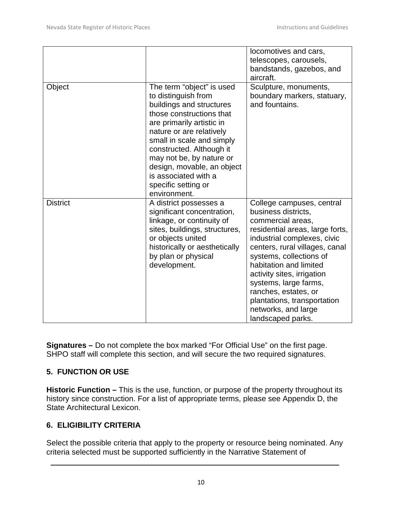|                 |                                                                                                                                                                                                                                                                                                                                                     | locomotives and cars,<br>telescopes, carousels,<br>bandstands, gazebos, and<br>aircraft.                                                                                                                                                                                                                                                                                                 |
|-----------------|-----------------------------------------------------------------------------------------------------------------------------------------------------------------------------------------------------------------------------------------------------------------------------------------------------------------------------------------------------|------------------------------------------------------------------------------------------------------------------------------------------------------------------------------------------------------------------------------------------------------------------------------------------------------------------------------------------------------------------------------------------|
| Object          | The term "object" is used<br>to distinguish from<br>buildings and structures<br>those constructions that<br>are primarily artistic in<br>nature or are relatively<br>small in scale and simply<br>constructed. Although it<br>may not be, by nature or<br>design, movable, an object<br>is associated with a<br>specific setting or<br>environment. | Sculpture, monuments,<br>boundary markers, statuary,<br>and fountains.                                                                                                                                                                                                                                                                                                                   |
| <b>District</b> | A district possesses a<br>significant concentration,<br>linkage, or continuity of<br>sites, buildings, structures,<br>or objects united<br>historically or aesthetically<br>by plan or physical<br>development.                                                                                                                                     | College campuses, central<br>business districts,<br>commercial areas,<br>residential areas, large forts,<br>industrial complexes, civic<br>centers, rural villages, canal<br>systems, collections of<br>habitation and limited<br>activity sites, irrigation<br>systems, large farms,<br>ranches, estates, or<br>plantations, transportation<br>networks, and large<br>landscaped parks. |

**Signatures –** Do not complete the box marked "For Official Use" on the first page. SHPO staff will complete this section, and will secure the two required signatures.

# **5. FUNCTION OR USE**

**Historic Function –** This is the use, function, or purpose of the property throughout its history since construction. For a list of appropriate terms, please see Appendix D, the State Architectural Lexicon.

# **6. ELIGIBILITY CRITERIA**

Select the possible criteria that apply to the property or resource being nominated. Any criteria selected must be supported sufficiently in the Narrative Statement of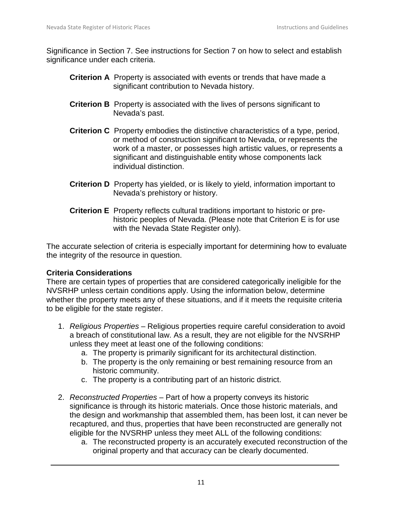Significance in Section 7. See instructions for Section 7 on how to select and establish significance under each criteria.

- **Criterion A** Property is associated with events or trends that have made a significant contribution to Nevada history.
- **Criterion B** Property is associated with the lives of persons significant to Nevada's past.
- **Criterion C** Property embodies the distinctive characteristics of a type, period, or method of construction significant to Nevada, or represents the work of a master, or possesses high artistic values, or represents a significant and distinguishable entity whose components lack individual distinction.
- **Criterion D** Property has yielded, or is likely to yield, information important to Nevada's prehistory or history.
- **Criterion E** Property reflects cultural traditions important to historic or prehistoric peoples of Nevada. (Please note that Criterion E is for use with the Nevada State Register only).

The accurate selection of criteria is especially important for determining how to evaluate the integrity of the resource in question.

#### **Criteria Considerations**

There are certain types of properties that are considered categorically ineligible for the NVSRHP unless certain conditions apply. Using the information below, determine whether the property meets any of these situations, and if it meets the requisite criteria to be eligible for the state register.

- 1. *Religious Properties* Religious properties require careful consideration to avoid a breach of constitutional law. As a result, they are not eligible for the NVSRHP unless they meet at least one of the following conditions:
	- a. The property is primarily significant for its architectural distinction.
	- b. The property is the only remaining or best remaining resource from an historic community.
	- c. The property is a contributing part of an historic district.
- 2. *Reconstructed Properties* Part of how a property conveys its historic significance is through its historic materials. Once those historic materials, and the design and workmanship that assembled them, has been lost, it can never be recaptured, and thus, properties that have been reconstructed are generally not eligible for the NVSRHP unless they meet ALL of the following conditions:
	- a. The reconstructed property is an accurately executed reconstruction of the original property and that accuracy can be clearly documented.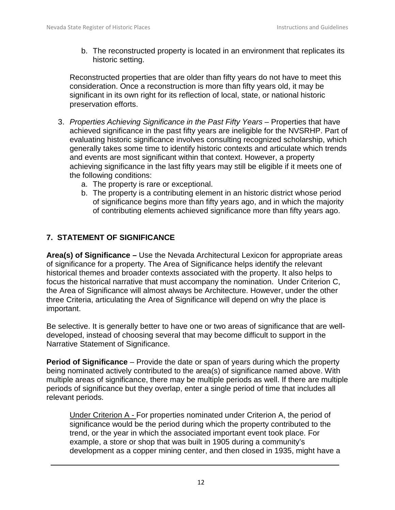b. The reconstructed property is located in an environment that replicates its historic setting.

Reconstructed properties that are older than fifty years do not have to meet this consideration. Once a reconstruction is more than fifty years old, it may be significant in its own right for its reflection of local, state, or national historic preservation efforts.

- 3. *Properties Achieving Significance in the Past Fifty Years* Properties that have achieved significance in the past fifty years are ineligible for the NVSRHP. Part of evaluating historic significance involves consulting recognized scholarship, which generally takes some time to identify historic contexts and articulate which trends and events are most significant within that context. However, a property achieving significance in the last fifty years may still be eligible if it meets one of the following conditions:
	- a. The property is rare or exceptional.
	- b. The property is a contributing element in an historic district whose period of significance begins more than fifty years ago, and in which the majority of contributing elements achieved significance more than fifty years ago.

# **7. STATEMENT OF SIGNIFICANCE**

**Area(s) of Significance –** Use the Nevada Architectural Lexicon for appropriate areas of significance for a property. The Area of Significance helps identify the relevant historical themes and broader contexts associated with the property. It also helps to focus the historical narrative that must accompany the nomination. Under Criterion C, the Area of Significance will almost always be Architecture. However, under the other three Criteria, articulating the Area of Significance will depend on why the place is important.

Be selective. It is generally better to have one or two areas of significance that are welldeveloped, instead of choosing several that may become difficult to support in the Narrative Statement of Significance.

**Period of Significance** – Provide the date or span of years during which the property being nominated actively contributed to the area(s) of significance named above. With multiple areas of significance, there may be multiple periods as well. If there are multiple periods of significance but they overlap, enter a single period of time that includes all relevant periods.

Under Criterion A - For properties nominated under Criterion A, the period of significance would be the period during which the property contributed to the trend, or the year in which the associated important event took place. For example, a store or shop that was built in 1905 during a community's development as a copper mining center, and then closed in 1935, might have a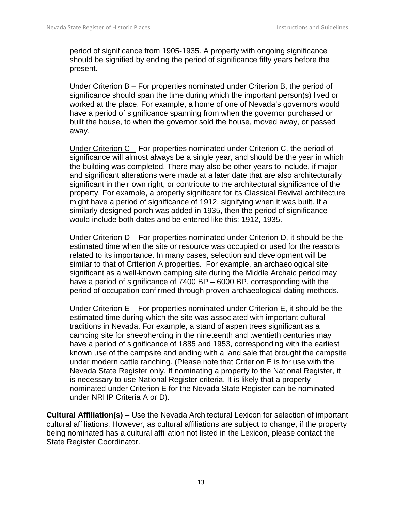period of significance from 1905-1935. A property with ongoing significance should be signified by ending the period of significance fifty years before the present.

Under Criterion B – For properties nominated under Criterion B, the period of significance should span the time during which the important person(s) lived or worked at the place. For example, a home of one of Nevada's governors would have a period of significance spanning from when the governor purchased or built the house, to when the governor sold the house, moved away, or passed away.

Under Criterion  $C -$  For properties nominated under Criterion C, the period of significance will almost always be a single year, and should be the year in which the building was completed. There may also be other years to include, if major and significant alterations were made at a later date that are also architecturally significant in their own right, or contribute to the architectural significance of the property. For example, a property significant for its Classical Revival architecture might have a period of significance of 1912, signifying when it was built. If a similarly-designed porch was added in 1935, then the period of significance would include both dates and be entered like this: 1912, 1935.

Under Criterion D – For properties nominated under Criterion D, it should be the estimated time when the site or resource was occupied or used for the reasons related to its importance. In many cases, selection and development will be similar to that of Criterion A properties. For example, an archaeological site significant as a well-known camping site during the Middle Archaic period may have a period of significance of 7400 BP – 6000 BP, corresponding with the period of occupation confirmed through proven archaeological dating methods.

Under Criterion E – For properties nominated under Criterion E, it should be the estimated time during which the site was associated with important cultural traditions in Nevada. For example, a stand of aspen trees significant as a camping site for sheepherding in the nineteenth and twentieth centuries may have a period of significance of 1885 and 1953, corresponding with the earliest known use of the campsite and ending with a land sale that brought the campsite under modern cattle ranching. (Please note that Criterion E is for use with the Nevada State Register only. If nominating a property to the National Register, it is necessary to use National Register criteria. It is likely that a property nominated under Criterion E for the Nevada State Register can be nominated under NRHP Criteria A or D).

**Cultural Affiliation(s)** – Use the Nevada Architectural Lexicon for selection of important cultural affiliations. However, as cultural affiliations are subject to change, if the property being nominated has a cultural affiliation not listed in the Lexicon, please contact the State Register Coordinator.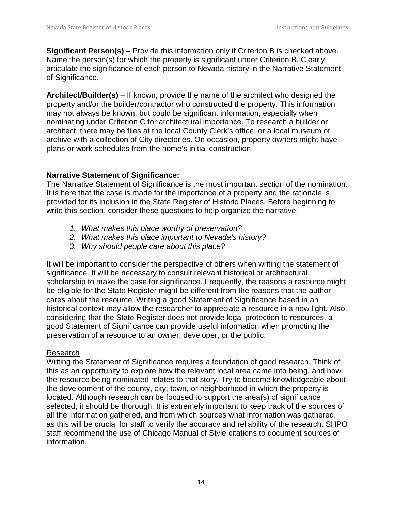**Significant Person(s) –** Provide this information only if Criterion B is checked above. Name the person(s) for which the property is significant under Criterion B. Clearly articulate the significance of each person to Nevada history in the Narrative Statement of Significance.

**Architect/Builder(s)** – If known, provide the name of the architect who designed the property and/or the builder/contractor who constructed the property. This information may not always be known, but could be significant information, especially when nominating under Criterion C for architectural importance. To research a builder or architect, there may be files at the local County Clerk's office, or a local museum or archive with a collection of City directories. On occasion, property owners might have plans or work schedules from the home's initial construction.

# **Narrative Statement of Significance:**

The Narrative Statement of Significance is the most important section of the nomination. It is here that the case is made for the importance of a property and the rationale is provided for its inclusion in the State Register of Historic Places. Before beginning to write this section, consider these questions to help organize the narrative:

- *1. What makes this place worthy of preservation?*
- *2. What makes this place important to Nevada's history?*
- *3. Why should people care about this place?*

It will be important to consider the perspective of others when writing the statement of significance. It will be necessary to consult relevant historical or architectural scholarship to make the case for significance. Frequently, the reasons a resource might be eligible for the State Register might be different from the reasons that the author cares about the resource. Writing a good Statement of Significance based in an historical context may allow the researcher to appreciate a resource in a new light. Also, considering that the State Register does not provide legal protection to resources, a good Statement of Significance can provide useful information when promoting the preservation of a resource to an owner, developer, or the public.

# Research

Writing the Statement of Significance requires a foundation of good research. Think of this as an opportunity to explore how the relevant local area came into being, and how the resource being nominated relates to that story. Try to become knowledgeable about the development of the county, city, town, or neighborhood in which the property is located. Although research can be focused to support the area(s) of significance selected, it should be thorough. It is extremely important to keep track of the sources of all the information gathered, and from which sources what information was gathered, as this will be crucial for staff to verify the accuracy and reliability of the research. SHPO staff recommend the use of Chicago Manual of Style citations to document sources of information.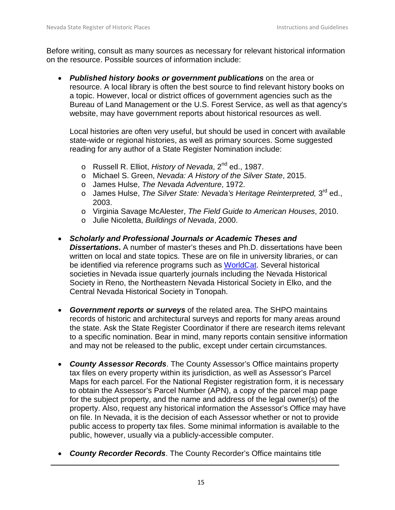Before writing, consult as many sources as necessary for relevant historical information on the resource. Possible sources of information include:

• *Published history books or government publications* on the area or resource. A local library is often the best source to find relevant history books on a topic. However, local or district offices of government agencies such as the Bureau of Land Management or the U.S. Forest Service, as well as that agency's website, may have government reports about historical resources as well.

Local histories are often very useful, but should be used in concert with available state-wide or regional histories, as well as primary sources. Some suggested reading for any author of a State Register Nomination include:

- o Russell R. Elliot, *History of Nevada*, 2nd ed., 1987.
- o Michael S. Green, *Nevada: A History of the Silver State*, 2015.
- o James Hulse, *The Nevada Adventure*, 1972.
- o James Hulse, *The Silver State: Nevada's Heritage Reinterpreted,* 3<sup>rd</sup> ed., 2003.
- o Virginia Savage McAlester, *The Field Guide to American Houses*, 2010.
- o Julie Nicoletta, *Buildings of Nevada*, 2000.
- *Scholarly and Professional Journals or Academic Theses and Dissertations***.** A number of master's theses and Ph.D. dissertations have been written on local and state topics. These are on file in university libraries, or can be identified via reference programs such as [WorldCat.](https://www.worldcat.org/) Several historical societies in Nevada issue quarterly journals including the Nevada Historical Society in Reno, the Northeastern Nevada Historical Society in Elko, and the Central Nevada Historical Society in Tonopah.
- *Government reports or surveys* of the related area. The SHPO maintains records of historic and architectural surveys and reports for many areas around the state. Ask the State Register Coordinator if there are research items relevant to a specific nomination. Bear in mind, many reports contain sensitive information and may not be released to the public, except under certain circumstances.
- *County Assessor Records*. The County Assessor's Office maintains property tax files on every property within its jurisdiction, as well as Assessor's Parcel Maps for each parcel. For the National Register registration form, it is necessary to obtain the Assessor's Parcel Number (APN), a copy of the parcel map page for the subject property, and the name and address of the legal owner(s) of the property. Also, request any historical information the Assessor's Office may have on file. In Nevada, it is the decision of each Assessor whether or not to provide public access to property tax files. Some minimal information is available to the public, however, usually via a publicly-accessible computer.
- *County Recorder Records*. The County Recorder's Office maintains title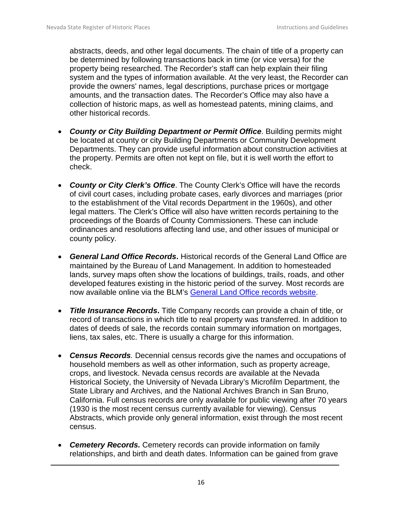abstracts, deeds, and other legal documents. The chain of title of a property can be determined by following transactions back in time (or vice versa) for the property being researched. The Recorder's staff can help explain their filing system and the types of information available. At the very least, the Recorder can provide the owners' names, legal descriptions, purchase prices or mortgage amounts, and the transaction dates. The Recorder's Office may also have a collection of historic maps, as well as homestead patents, mining claims, and other historical records.

- *County or City Building Department or Permit Office*. Building permits might be located at county or city Building Departments or Community Development Departments. They can provide useful information about construction activities at the property. Permits are often not kept on file, but it is well worth the effort to check.
- *County or City Clerk's Office*. The County Clerk's Office will have the records of civil court cases, including probate cases, early divorces and marriages (prior to the establishment of the Vital records Department in the 1960s), and other legal matters. The Clerk's Office will also have written records pertaining to the proceedings of the Boards of County Commissioners. These can include ordinances and resolutions affecting land use, and other issues of municipal or county policy.
- *General Land Office Records***.** Historical records of the General Land Office are maintained by the Bureau of Land Management. In addition to homesteaded lands, survey maps often show the locations of buildings, trails, roads, and other developed features existing in the historic period of the survey. Most records are now available online via the BLM's [General Land Office records website.](http://www.glorecords.blm.gov/default.aspx)
- *Title Insurance Records***.** Title Company records can provide a chain of title, or record of transactions in which title to real property was transferred. In addition to dates of deeds of sale, the records contain summary information on mortgages, liens, tax sales, etc. There is usually a charge for this information.
- *Census Records.* Decennial census records give the names and occupations of household members as well as other information, such as property acreage, crops, and livestock. Nevada census records are available at the Nevada Historical Society, the University of Nevada Library's Microfilm Department, the State Library and Archives, and the National Archives Branch in San Bruno, California. Full census records are only available for public viewing after 70 years (1930 is the most recent census currently available for viewing). Census Abstracts, which provide only general information, exist through the most recent census.
- *Cemetery Records.* Cemetery records can provide information on family relationships, and birth and death dates. Information can be gained from grave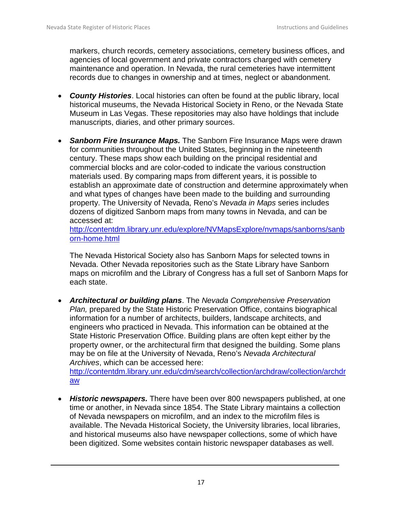markers, church records, cemetery associations, cemetery business offices, and agencies of local government and private contractors charged with cemetery maintenance and operation. In Nevada, the rural cemeteries have intermittent records due to changes in ownership and at times, neglect or abandonment.

- *County Histories*. Local histories can often be found at the public library, local historical museums, the Nevada Historical Society in Reno, or the Nevada State Museum in Las Vegas. These repositories may also have holdings that include manuscripts, diaries, and other primary sources.
- *Sanborn Fire Insurance Maps.* The Sanborn Fire Insurance Maps were drawn for communities throughout the United States, beginning in the nineteenth century. These maps show each building on the principal residential and commercial blocks and are color-coded to indicate the various construction materials used. By comparing maps from different years, it is possible to establish an approximate date of construction and determine approximately when and what types of changes have been made to the building and surrounding property. The University of Nevada, Reno's *Nevada in Maps* series includes dozens of digitized Sanborn maps from many towns in Nevada, and can be accessed at:

[http://contentdm.library.unr.edu/explore/NVMapsExplore/nvmaps/sanborns/sanb](http://contentdm.library.unr.edu/explore/NVMapsExplore/nvmaps/sanborns/sanborn-home.html) [orn-home.html](http://contentdm.library.unr.edu/explore/NVMapsExplore/nvmaps/sanborns/sanborn-home.html)

The Nevada Historical Society also has Sanborn Maps for selected towns in Nevada. Other Nevada repositories such as the State Library have Sanborn maps on microfilm and the Library of Congress has a full set of Sanborn Maps for each state.

• *Architectural or building plans*. The *Nevada Comprehensive Preservation Plan, prepared by the State Historic Preservation Office, contains biographical* information for a number of architects, builders, landscape architects, and engineers who practiced in Nevada. This information can be obtained at the State Historic Preservation Office. Building plans are often kept either by the property owner, or the architectural firm that designed the building. Some plans may be on file at the University of Nevada, Reno's *Nevada Architectural Archives*, which can be accessed here:

[http://contentdm.library.unr.edu/cdm/search/collection/archdraw/collection/archdr](http://contentdm.library.unr.edu/cdm/search/collection/archdraw/collection/archdraw) [aw](http://contentdm.library.unr.edu/cdm/search/collection/archdraw/collection/archdraw)

• *Historic newspapers.* There have been over 800 newspapers published, at one time or another, in Nevada since 1854. The State Library maintains a collection of Nevada newspapers on microfilm, and an index to the microfilm files is available. The Nevada Historical Society, the University libraries, local libraries, and historical museums also have newspaper collections, some of which have been digitized. Some websites contain historic newspaper databases as well.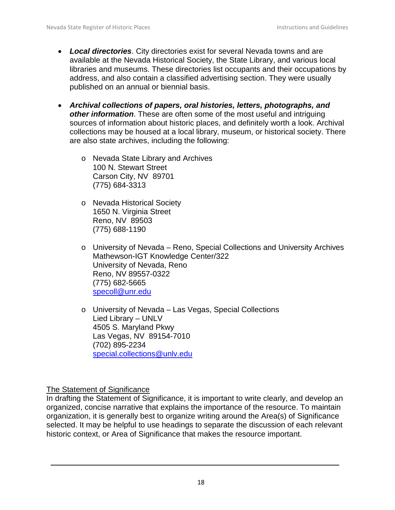- *Local directories*. City directories exist for several Nevada towns and are available at the Nevada Historical Society, the State Library, and various local libraries and museums. These directories list occupants and their occupations by address, and also contain a classified advertising section. They were usually published on an annual or biennial basis.
- *Archival collections of papers, oral histories, letters, photographs, and other information*. These are often some of the most useful and intriguing sources of information about historic places, and definitely worth a look. Archival collections may be housed at a local library, museum, or historical society. There are also state archives, including the following:
	- o Nevada State Library and Archives 100 N. Stewart Street Carson City, NV 89701 (775) 684-3313
	- o Nevada Historical Society 1650 N. Virginia Street Reno, NV 89503 (775) 688-1190
	- o University of Nevada Reno, Special Collections and University Archives Mathewson-IGT Knowledge Center/322 University of Nevada, Reno Reno, NV 89557-0322 (775) 682-5665 [specoll@unr.edu](mailto:specoll@unr.edu)
	- o University of Nevada Las Vegas, Special Collections Lied Library – UNLV 4505 S. Maryland Pkwy Las Vegas, NV 89154-7010 (702) 895-2234 [special.collections@unlv.edu](mailto:special.collections@unlv.edu)

The Statement of Significance

In drafting the Statement of Significance, it is important to write clearly, and develop an organized, concise narrative that explains the importance of the resource. To maintain organization, it is generally best to organize writing around the Area(s) of Significance selected. It may be helpful to use headings to separate the discussion of each relevant historic context, or Area of Significance that makes the resource important.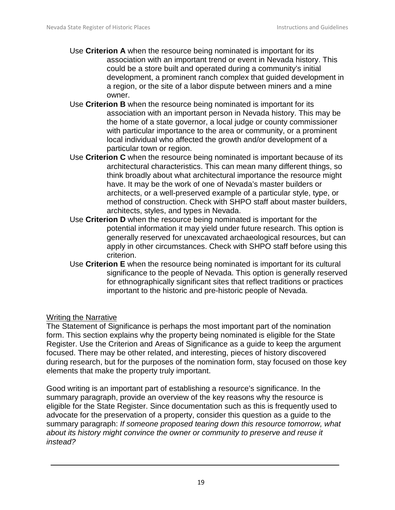- Use **Criterion A** when the resource being nominated is important for its association with an important trend or event in Nevada history. This could be a store built and operated during a community's initial development, a prominent ranch complex that guided development in a region, or the site of a labor dispute between miners and a mine owner.
- Use **Criterion B** when the resource being nominated is important for its association with an important person in Nevada history. This may be the home of a state governor, a local judge or county commissioner with particular importance to the area or community, or a prominent local individual who affected the growth and/or development of a particular town or region.
- Use **Criterion C** when the resource being nominated is important because of its architectural characteristics. This can mean many different things, so think broadly about what architectural importance the resource might have. It may be the work of one of Nevada's master builders or architects, or a well-preserved example of a particular style, type, or method of construction. Check with SHPO staff about master builders, architects, styles, and types in Nevada.
- Use **Criterion D** when the resource being nominated is important for the potential information it may yield under future research. This option is generally reserved for unexcavated archaeological resources, but can apply in other circumstances. Check with SHPO staff before using this criterion.
- Use **Criterion E** when the resource being nominated is important for its cultural significance to the people of Nevada. This option is generally reserved for ethnographically significant sites that reflect traditions or practices important to the historic and pre-historic people of Nevada.

#### Writing the Narrative

The Statement of Significance is perhaps the most important part of the nomination form. This section explains why the property being nominated is eligible for the State Register. Use the Criterion and Areas of Significance as a guide to keep the argument focused. There may be other related, and interesting, pieces of history discovered during research, but for the purposes of the nomination form, stay focused on those key elements that make the property truly important.

Good writing is an important part of establishing a resource's significance. In the summary paragraph, provide an overview of the key reasons why the resource is eligible for the State Register. Since documentation such as this is frequently used to advocate for the preservation of a property, consider this question as a guide to the summary paragraph: *If someone proposed tearing down this resource tomorrow, what about its history might convince the owner or community to preserve and reuse it instead?*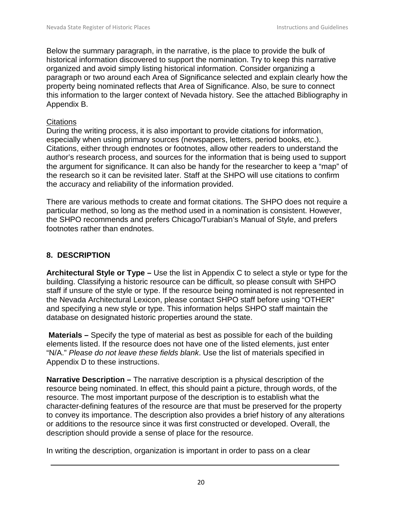Below the summary paragraph, in the narrative, is the place to provide the bulk of historical information discovered to support the nomination. Try to keep this narrative organized and avoid simply listing historical information. Consider organizing a paragraph or two around each Area of Significance selected and explain clearly how the property being nominated reflects that Area of Significance. Also, be sure to connect this information to the larger context of Nevada history. See the attached Bibliography in Appendix B.

#### **Citations**

During the writing process, it is also important to provide citations for information, especially when using primary sources (newspapers, letters, period books, etc.). Citations, either through endnotes or footnotes, allow other readers to understand the author's research process, and sources for the information that is being used to support the argument for significance. It can also be handy for the researcher to keep a "map" of the research so it can be revisited later. Staff at the SHPO will use citations to confirm the accuracy and reliability of the information provided.

There are various methods to create and format citations. The SHPO does not require a particular method, so long as the method used in a nomination is consistent. However, the SHPO recommends and prefers Chicago/Turabian's Manual of Style, and prefers footnotes rather than endnotes.

# **8. DESCRIPTION**

**Architectural Style or Type –** Use the list in Appendix C to select a style or type for the building. Classifying a historic resource can be difficult, so please consult with SHPO staff if unsure of the style or type. If the resource being nominated is not represented in the Nevada Architectural Lexicon, please contact SHPO staff before using "OTHER" and specifying a new style or type. This information helps SHPO staff maintain the database on designated historic properties around the state.

**Materials –** Specify the type of material as best as possible for each of the building elements listed. If the resource does not have one of the listed elements, just enter "N/A." *Please do not leave these fields blank*. Use the list of materials specified in Appendix D to these instructions.

**Narrative Description –** The narrative description is a physical description of the resource being nominated. In effect, this should paint a picture, through words, of the resource. The most important purpose of the description is to establish what the character-defining features of the resource are that must be preserved for the property to convey its importance. The description also provides a brief history of any alterations or additions to the resource since it was first constructed or developed. Overall, the description should provide a sense of place for the resource.

In writing the description, organization is important in order to pass on a clear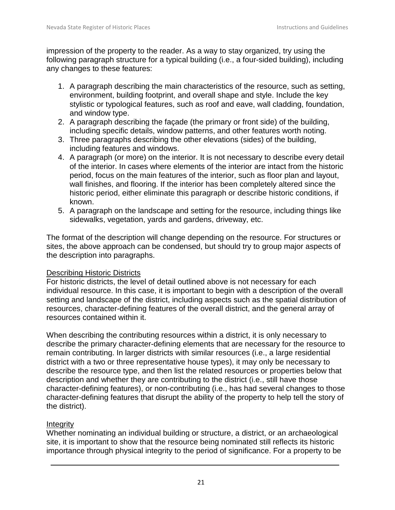impression of the property to the reader. As a way to stay organized, try using the following paragraph structure for a typical building (i.e., a four-sided building), including any changes to these features:

- 1. A paragraph describing the main characteristics of the resource, such as setting, environment, building footprint, and overall shape and style. Include the key stylistic or typological features, such as roof and eave, wall cladding, foundation, and window type.
- 2. A paragraph describing the façade (the primary or front side) of the building, including specific details, window patterns, and other features worth noting.
- 3. Three paragraphs describing the other elevations (sides) of the building, including features and windows.
- 4. A paragraph (or more) on the interior. It is not necessary to describe every detail of the interior. In cases where elements of the interior are intact from the historic period, focus on the main features of the interior, such as floor plan and layout, wall finishes, and flooring. If the interior has been completely altered since the historic period, either eliminate this paragraph or describe historic conditions, if known.
- 5. A paragraph on the landscape and setting for the resource, including things like sidewalks, vegetation, yards and gardens, driveway, etc.

The format of the description will change depending on the resource. For structures or sites, the above approach can be condensed, but should try to group major aspects of the description into paragraphs.

# Describing Historic Districts

For historic districts, the level of detail outlined above is not necessary for each individual resource. In this case, it is important to begin with a description of the overall setting and landscape of the district, including aspects such as the spatial distribution of resources, character-defining features of the overall district, and the general array of resources contained within it.

When describing the contributing resources within a district, it is only necessary to describe the primary character-defining elements that are necessary for the resource to remain contributing. In larger districts with similar resources (i.e., a large residential district with a two or three representative house types), it may only be necessary to describe the resource type, and then list the related resources or properties below that description and whether they are contributing to the district (i.e., still have those character-defining features), or non-contributing (i.e., has had several changes to those character-defining features that disrupt the ability of the property to help tell the story of the district).

# **Integrity**

Whether nominating an individual building or structure, a district, or an archaeological site, it is important to show that the resource being nominated still reflects its historic importance through physical integrity to the period of significance. For a property to be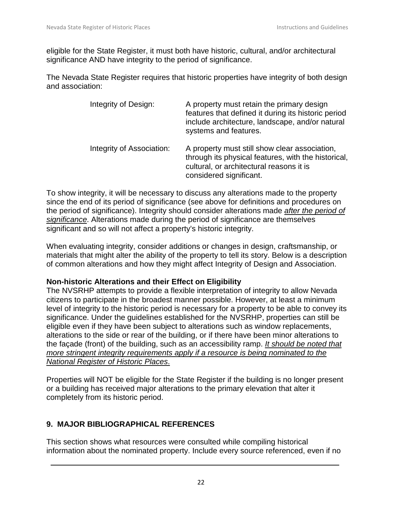eligible for the State Register, it must both have historic, cultural, and/or architectural significance AND have integrity to the period of significance.

The Nevada State Register requires that historic properties have integrity of both design and association:

| Integrity of Design:      | A property must retain the primary design<br>features that defined it during its historic period<br>include architecture, landscape, and/or natural<br>systems and features. |
|---------------------------|------------------------------------------------------------------------------------------------------------------------------------------------------------------------------|
| Integrity of Association: | A property must still show clear association,<br>through its physical features, with the historical,<br>cultural, or architectural reasons it is<br>considered significant.  |

To show integrity, it will be necessary to discuss any alterations made to the property since the end of its period of significance (see above for definitions and procedures on the period of significance). Integrity should consider alterations made *after the period of significance*. Alterations made during the period of significance are themselves significant and so will not affect a property's historic integrity.

When evaluating integrity, consider additions or changes in design, craftsmanship, or materials that might alter the ability of the property to tell its story. Below is a description of common alterations and how they might affect Integrity of Design and Association.

#### **Non-historic Alterations and their Effect on Eligibility**

The NVSRHP attempts to provide a flexible interpretation of integrity to allow Nevada citizens to participate in the broadest manner possible. However, at least a minimum level of integrity to the historic period is necessary for a property to be able to convey its significance. Under the guidelines established for the NVSRHP, properties can still be eligible even if they have been subject to alterations such as window replacements, alterations to the side or rear of the building, or if there have been minor alterations to the façade (front) of the building, such as an accessibility ramp. *It should be noted that more stringent integrity requirements apply if a resource is being nominated to the National Register of Historic Places*.

Properties will NOT be eligible for the State Register if the building is no longer present or a building has received major alterations to the primary elevation that alter it completely from its historic period.

# **9. MAJOR BIBLIOGRAPHICAL REFERENCES**

This section shows what resources were consulted while compiling historical information about the nominated property. Include every source referenced, even if no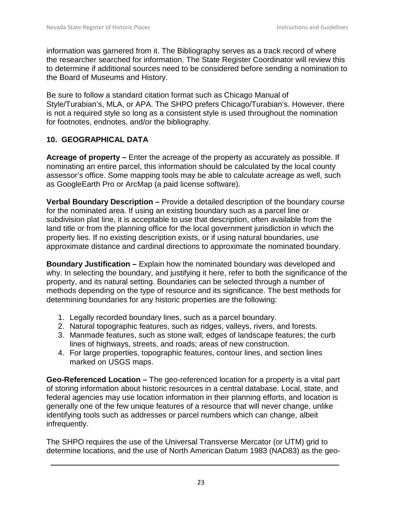information was garnered from it. The Bibliography serves as a track record of where the researcher searched for information. The State Register Coordinator will review this to determine if additional sources need to be considered before sending a nomination to the Board of Museums and History.

Be sure to follow a standard citation format such as Chicago Manual of Style/Turabian's, MLA, or APA. The SHPO prefers Chicago/Turabian's. However, there is not a required style so long as a consistent style is used throughout the nomination for footnotes, endnotes, and/or the bibliography.

# **10. GEOGRAPHICAL DATA**

**Acreage of property –** Enter the acreage of the property as accurately as possible. If nominating an entire parcel, this information should be calculated by the local county assessor's office. Some mapping tools may be able to calculate acreage as well, such as GoogleEarth Pro or ArcMap (a paid license software).

**Verbal Boundary Description –** Provide a detailed description of the boundary course for the nominated area. If using an existing boundary such as a parcel line or subdivision plat line, it is acceptable to use that description, often available from the land title or from the planning office for the local government jurisdiction in which the property lies. If no existing description exists, or if using natural boundaries, use approximate distance and cardinal directions to approximate the nominated boundary.

**Boundary Justification –** Explain how the nominated boundary was developed and why. In selecting the boundary, and justifying it here, refer to both the significance of the property, and its natural setting. Boundaries can be selected through a number of methods depending on the type of resource and its significance. The best methods for determining boundaries for any historic properties are the following:

- 1. Legally recorded boundary lines, such as a parcel boundary.
- 2. Natural topographic features, such as ridges, valleys, rivers, and forests.
- 3. Manmade features, such as stone wall; edges of landscape features; the curb lines of highways, streets, and roads; areas of new construction.
- 4. For large properties, topographic features, contour lines, and section lines marked on USGS maps.

**Geo-Referenced Location –** The geo-referenced location for a property is a vital part of storing information about historic resources in a central database. Local, state, and federal agencies may use location information in their planning efforts, and location is generally one of the few unique features of a resource that will never change, unlike identifying tools such as addresses or parcel numbers which can change, albeit infrequently.

The SHPO requires the use of the Universal Transverse Mercator (or UTM) grid to determine locations, and the use of North American Datum 1983 (NAD83) as the geo-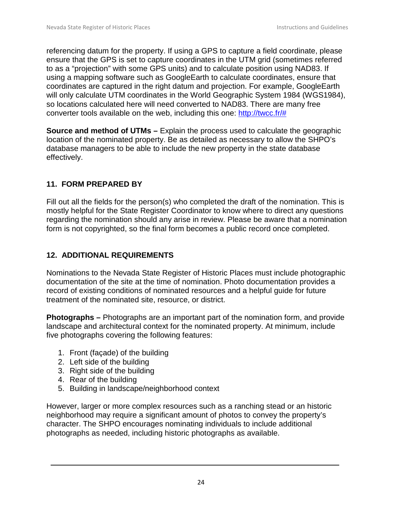referencing datum for the property. If using a GPS to capture a field coordinate, please ensure that the GPS is set to capture coordinates in the UTM grid (sometimes referred to as a "projection" with some GPS units) and to calculate position using NAD83. If using a mapping software such as GoogleEarth to calculate coordinates, ensure that coordinates are captured in the right datum and projection. For example, GoogleEarth will only calculate UTM coordinates in the World Geographic System 1984 (WGS1984), so locations calculated here will need converted to NAD83. There are many free converter tools available on the web, including this one: [http://twcc.fr/#](http://twcc.fr/)

**Source and method of UTMs –** Explain the process used to calculate the geographic location of the nominated property. Be as detailed as necessary to allow the SHPO's database managers to be able to include the new property in the state database effectively.

# **11. FORM PREPARED BY**

Fill out all the fields for the person(s) who completed the draft of the nomination. This is mostly helpful for the State Register Coordinator to know where to direct any questions regarding the nomination should any arise in review. Please be aware that a nomination form is not copyrighted, so the final form becomes a public record once completed.

# **12. ADDITIONAL REQUIREMENTS**

Nominations to the Nevada State Register of Historic Places must include photographic documentation of the site at the time of nomination. Photo documentation provides a record of existing conditions of nominated resources and a helpful guide for future treatment of the nominated site, resource, or district.

**Photographs –** Photographs are an important part of the nomination form, and provide landscape and architectural context for the nominated property. At minimum, include five photographs covering the following features:

- 1. Front (façade) of the building
- 2. Left side of the building
- 3. Right side of the building
- 4. Rear of the building
- 5. Building in landscape/neighborhood context

However, larger or more complex resources such as a ranching stead or an historic neighborhood may require a significant amount of photos to convey the property's character. The SHPO encourages nominating individuals to include additional photographs as needed, including historic photographs as available.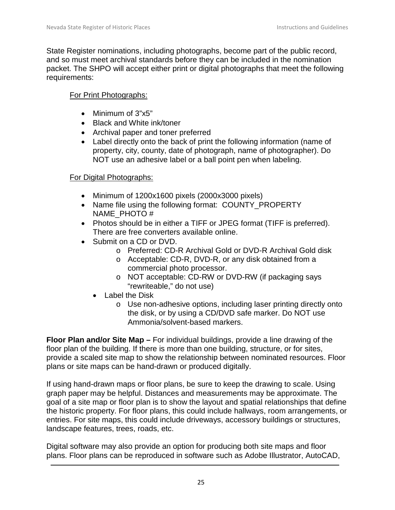State Register nominations, including photographs, become part of the public record, and so must meet archival standards before they can be included in the nomination packet. The SHPO will accept either print or digital photographs that meet the following requirements:

# For Print Photographs:

- Minimum of 3"x5"
- Black and White ink/toner
- Archival paper and toner preferred
- Label directly onto the back of print the following information (name of property, city, county, date of photograph, name of photographer). Do NOT use an adhesive label or a ball point pen when labeling.

# For Digital Photographs:

- Minimum of 1200x1600 pixels (2000x3000 pixels)
- Name file using the following format: COUNTY\_PROPERTY NAME\_PHOTO #
- Photos should be in either a TIFF or JPEG format (TIFF is preferred). There are free converters available online.
- Submit on a CD or DVD.
	- o Preferred: CD-R Archival Gold or DVD-R Archival Gold disk
	- o Acceptable: CD-R, DVD-R, or any disk obtained from a commercial photo processor.
	- o NOT acceptable: CD-RW or DVD-RW (if packaging says "rewriteable," do not use)
	- Label the Disk
		- o Use non-adhesive options, including laser printing directly onto the disk, or by using a CD/DVD safe marker. Do NOT use Ammonia/solvent-based markers.

**Floor Plan and/or Site Map –** For individual buildings, provide a line drawing of the floor plan of the building. If there is more than one building, structure, or for sites, provide a scaled site map to show the relationship between nominated resources. Floor plans or site maps can be hand-drawn or produced digitally.

If using hand-drawn maps or floor plans, be sure to keep the drawing to scale. Using graph paper may be helpful. Distances and measurements may be approximate. The goal of a site map or floor plan is to show the layout and spatial relationships that define the historic property. For floor plans, this could include hallways, room arrangements, or entries. For site maps, this could include driveways, accessory buildings or structures, landscape features, trees, roads, etc.

Digital software may also provide an option for producing both site maps and floor plans. Floor plans can be reproduced in software such as Adobe Illustrator, AutoCAD,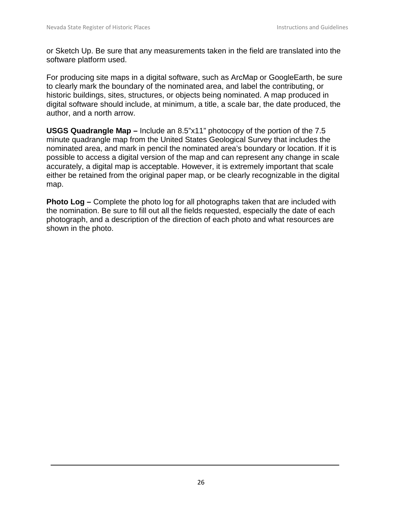or Sketch Up. Be sure that any measurements taken in the field are translated into the software platform used.

For producing site maps in a digital software, such as ArcMap or GoogleEarth, be sure to clearly mark the boundary of the nominated area, and label the contributing, or historic buildings, sites, structures, or objects being nominated. A map produced in digital software should include, at minimum, a title, a scale bar, the date produced, the author, and a north arrow.

**USGS Quadrangle Map –** Include an 8.5"x11" photocopy of the portion of the 7.5 minute quadrangle map from the United States Geological Survey that includes the nominated area, and mark in pencil the nominated area's boundary or location. If it is possible to access a digital version of the map and can represent any change in scale accurately, a digital map is acceptable. However, it is extremely important that scale either be retained from the original paper map, or be clearly recognizable in the digital map.

**Photo Log –** Complete the photo log for all photographs taken that are included with the nomination. Be sure to fill out all the fields requested, especially the date of each photograph, and a description of the direction of each photo and what resources are shown in the photo.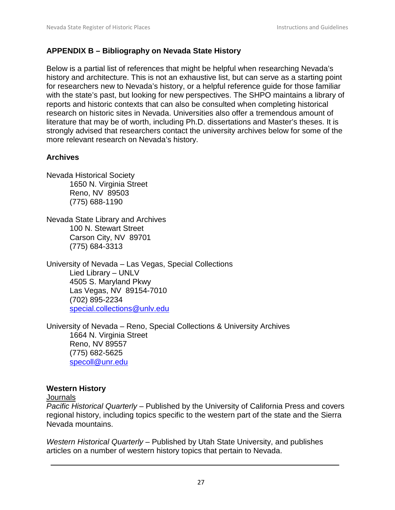#### <span id="page-26-0"></span>**APPENDIX B – Bibliography on Nevada State History**

Below is a partial list of references that might be helpful when researching Nevada's history and architecture. This is not an exhaustive list, but can serve as a starting point for researchers new to Nevada's history, or a helpful reference guide for those familiar with the state's past, but looking for new perspectives. The SHPO maintains a library of reports and historic contexts that can also be consulted when completing historical research on historic sites in Nevada. Universities also offer a tremendous amount of literature that may be of worth, including Ph.D. dissertations and Master's theses. It is strongly advised that researchers contact the university archives below for some of the more relevant research on Nevada's history.

#### **Archives**

Nevada Historical Society 1650 N. Virginia Street Reno, NV 89503 (775) 688-1190

Nevada State Library and Archives 100 N. Stewart Street Carson City, NV 89701 (775) 684-3313

University of Nevada – Las Vegas, Special Collections Lied Library – UNLV 4505 S. Maryland Pkwy Las Vegas, NV 89154-7010 (702) 895-2234 [special.collections@unlv.edu](mailto:special.collections@unlv.edu)

University of Nevada – Reno, Special Collections & University Archives 1664 N. Virginia Street Reno, NV 89557 (775) 682-5625 [specoll@unr.edu](mailto:specoll@unr.edu)

#### **Western History**

#### **Journals**

*Pacific Historical Quarterly* – Published by the University of California Press and covers regional history, including topics specific to the western part of the state and the Sierra Nevada mountains.

*Western Historical Quarterly* – Published by Utah State University, and publishes articles on a number of western history topics that pertain to Nevada.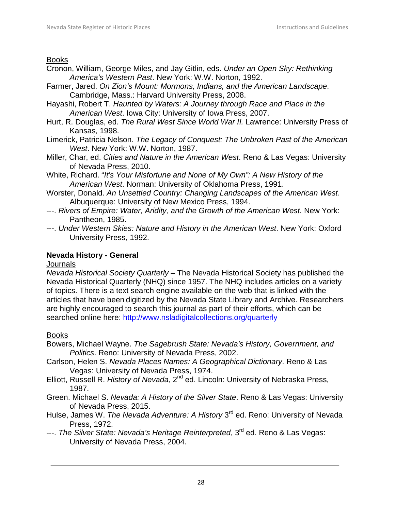#### Books

- Cronon, William, George Miles, and Jay Gitlin, eds. *Under an Open Sky: Rethinking America's Western Past*. New York: W.W. Norton, 1992.
- Farmer, Jared. *On Zion's Mount: Mormons, Indians, and the American Landscape*. Cambridge, Mass.: Harvard University Press, 2008.
- Hayashi, Robert T. *Haunted by Waters: A Journey through Race and Place in the American West*. Iowa City: University of Iowa Press, 2007.
- Hurt, R. Douglas, ed. *The Rural West Since World War II.* Lawrence: University Press of Kansas, 1998.
- Limerick, Patricia Nelson. *The Legacy of Conquest: The Unbroken Past of the American West*. New York: W.W. Norton, 1987.
- Miller, Char, ed. *Cities and Nature in the American West*. Reno & Las Vegas: University of Nevada Press, 2010.
- White, Richard. "*It's Your Misfortune and None of My Own": A New History of the American West*. Norman: University of Oklahoma Press, 1991.
- Worster, Donald. *An Unsettled Country: Changing Landscapes of the American West*. Albuquerque: University of New Mexico Press, 1994.
- ---. *Rivers of Empire: Water, Aridity, and the Growth of the American West.* New York: Pantheon, 1985.
- ---. *Under Western Skies: Nature and History in the American West*. New York: Oxford University Press, 1992.

# **Nevada History - General**

#### **Journals**

*Nevada Historical Society Quarterly* – The Nevada Historical Society has published the Nevada Historical Quarterly (NHQ) since 1957. The NHQ includes articles on a variety of topics. There is a text search engine available on the web that is linked with the articles that have been digitized by the Nevada State Library and Archive. Researchers are highly encouraged to search this journal as part of their efforts, which can be searched online here:<http://www.nsladigitalcollections.org/quarterly>

#### Books

Bowers, Michael Wayne. *The Sagebrush State: Nevada's History, Government, and Politics*. Reno: University of Nevada Press, 2002.

- Carlson, Helen S. *Nevada Places Names: A Geographical Dictionary*. Reno & Las Vegas: University of Nevada Press, 1974.
- Elliott, Russell R. *History of Nevada*, 2nd ed. Lincoln: University of Nebraska Press, 1987.
- Green. Michael S. *Nevada: A History of the Silver State*. Reno & Las Vegas: University of Nevada Press, 2015.
- Hulse, James W. *The Nevada Adventure: A History* 3<sup>rd</sup> ed. Reno: University of Nevada Press, 1972.
- ---. *The Silver State: Nevada's Heritage Reinterpreted*, 3<sup>rd</sup> ed. Reno & Las Vegas: University of Nevada Press, 2004.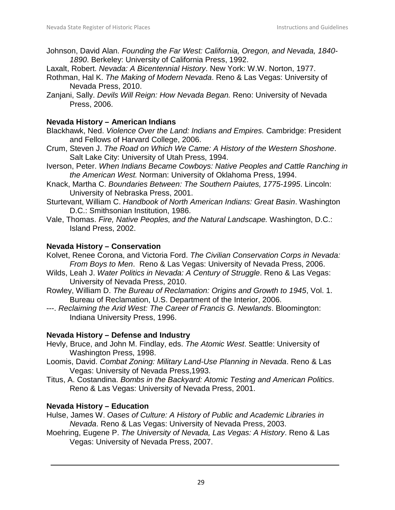Johnson, David Alan. *Founding the Far West: California, Oregon, and Nevada, 1840- 1890*. Berkeley: University of California Press, 1992.

Laxalt, Robert. *Nevada: A Bicentennial History*. New York: W.W. Norton, 1977.

- Rothman, Hal K. *The Making of Modern Nevada*. Reno & Las Vegas: University of Nevada Press, 2010.
- Zanjani, Sally. *Devils Will Reign: How Nevada Began.* Reno: University of Nevada Press, 2006.

#### **Nevada History – American Indians**

- Blackhawk, Ned. *Violence Over the Land: Indians and Empires.* Cambridge: President and Fellows of Harvard College, 2006.
- Crum, Steven J. *The Road on Which We Came: A History of the Western Shoshone*. Salt Lake City: University of Utah Press, 1994.
- Iverson, Peter. *When Indians Became Cowboys: Native Peoples and Cattle Ranching in the American West.* Norman: University of Oklahoma Press, 1994.
- Knack, Martha C. *Boundaries Between: The Southern Paiutes, 1775-1995*. Lincoln: University of Nebraska Press, 2001.
- Sturtevant, William C. *Handbook of North American Indians: Great Basin*. Washington D.C.: Smithsonian Institution, 1986.
- Vale, Thomas. *Fire, Native Peoples, and the Natural Landscape.* Washington, D.C.: Island Press, 2002.

## **Nevada History – Conservation**

- Kolvet, Renee Corona, and Victoria Ford. *The Civilian Conservation Corps in Nevada: From Boys to Men*. Reno & Las Vegas: University of Nevada Press, 2006.
- Wilds, Leah J. *Water Politics in Nevada: A Century of Struggle*. Reno & Las Vegas: University of Nevada Press, 2010.
- Rowley, William D. *The Bureau of Reclamation: Origins and Growth to 1945*, Vol. 1. Bureau of Reclamation, U.S. Department of the Interior, 2006.
- ---. *Reclaiming the Arid West: The Career of Francis G. Newlands*. Bloomington: Indiana University Press, 1996.

# **Nevada History – Defense and Industry**

- Hevly, Bruce, and John M. Findlay, eds. *The Atomic West*. Seattle: University of Washington Press, 1998.
- Loomis, David. *Combat Zoning: Military Land-Use Planning in Nevada*. Reno & Las Vegas: University of Nevada Press,1993.
- Titus, A. Costandina. *Bombs in the Backyard: Atomic Testing and American Politics*. Reno & Las Vegas: University of Nevada Press, 2001.

# **Nevada History – Education**

- Hulse, James W. *Oases of Culture: A History of Public and Academic Libraries in Nevada*. Reno & Las Vegas: University of Nevada Press, 2003.
- Moehring, Eugene P. *The University of Nevada, Las Vegas: A History*. Reno & Las Vegas: University of Nevada Press, 2007.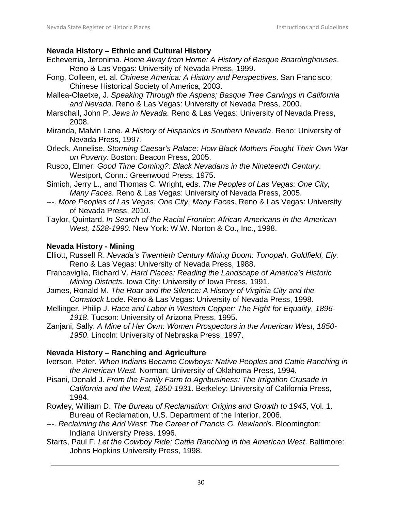#### **Nevada History – Ethnic and Cultural History**

- Echeverria, Jeronima. *Home Away from Home: A History of Basque Boardinghouses*. Reno & Las Vegas: University of Nevada Press, 1999.
- Fong, Colleen, et. al. *Chinese America: A History and Perspectives*. San Francisco: Chinese Historical Society of America, 2003.
- Mallea-Olaetxe, J. *Speaking Through the Aspens; Basque Tree Carvings in California and Nevada*. Reno & Las Vegas: University of Nevada Press, 2000.
- Marschall, John P. *Jews in Nevada*. Reno & Las Vegas: University of Nevada Press, 2008.
- Miranda, Malvin Lane. *A History of Hispanics in Southern Nevada*. Reno: University of Nevada Press, 1997.
- Orleck, Annelise. *Storming Caesar's Palace: How Black Mothers Fought Their Own War on Poverty*. Boston: Beacon Press, 2005.
- Rusco, Elmer. *Good Time Coming?: Black Nevadans in the Nineteenth Century*. Westport, Conn.: Greenwood Press, 1975.
- Simich, Jerry L., and Thomas C. Wright, eds. *The Peoples of Las Vegas: One City, Many Faces*. Reno & Las Vegas: University of Nevada Press, 2005.
- ---. *More Peoples of Las Vegas: One City, Many Faces*. Reno & Las Vegas: University of Nevada Press, 2010.
- Taylor, Quintard. *In Search of the Racial Frontier: African Americans in the American West, 1528-1990*. New York: W.W. Norton & Co., Inc., 1998.

#### **Nevada History - Mining**

- Elliott, Russell R. *Nevada's Twentieth Century Mining Boom: Tonopah, Goldfield, Ely.*  Reno & Las Vegas: University of Nevada Press, 1988.
- Francaviglia, Richard V. *Hard Places: Reading the Landscape of America's Historic Mining Districts*. Iowa City: University of Iowa Press, 1991.
- James, Ronald M. *The Roar and the Silence: A History of Virginia City and the Comstock Lode*. Reno & Las Vegas: University of Nevada Press, 1998.
- Mellinger, Philip J. *Race and Labor in Western Copper: The Fight for Equality, 1896- 1918*. Tucson: University of Arizona Press, 1995.
- Zanjani, Sally. *A Mine of Her Own: Women Prospectors in the American West, 1850- 1950*. Lincoln: University of Nebraska Press, 1997.

#### **Nevada History – Ranching and Agriculture**

- Iverson, Peter. *When Indians Became Cowboys: Native Peoples and Cattle Ranching in the American West.* Norman: University of Oklahoma Press, 1994.
- Pisani, Donald J. *From the Family Farm to Agribusiness: The Irrigation Crusade in California and the West, 1850-1931*. Berkeley: University of California Press, 1984.
- Rowley, William D. *The Bureau of Reclamation: Origins and Growth to 1945*, Vol. 1. Bureau of Reclamation, U.S. Department of the Interior, 2006.
- ---. *Reclaiming the Arid West: The Career of Francis G. Newlands*. Bloomington: Indiana University Press, 1996.
- Starrs, Paul F. *Let the Cowboy Ride: Cattle Ranching in the American West*. Baltimore: Johns Hopkins University Press, 1998.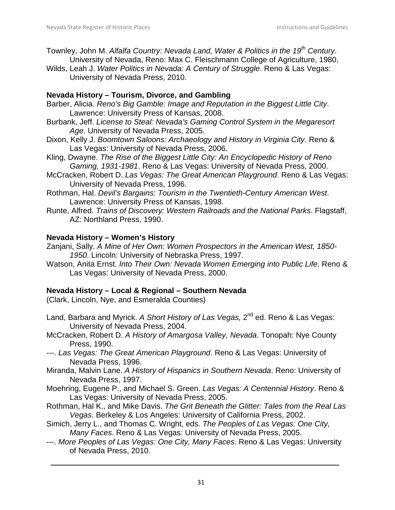- Townley, John M. *Alfalfa Country: Nevada Land, Water & Politics in the 19th Century*. University of Nevada, Reno: Max C. Fleischmann College of Agriculture, 1980.
- Wilds, Leah J. *Water Politics in Nevada: A Century of Struggle*. Reno & Las Vegas: University of Nevada Press, 2010.

#### **Nevada History – Tourism, Divorce, and Gambling**

- Barber, Alicia. *Reno's Big Gamble: Image and Reputation in the Biggest Little City*. Lawrence: University Press of Kansas, 2008.
- Burbank, Jeff. *License to Steal: Nevada's Gaming Control System in the Megaresort Age.* University of Nevada Press, 2005.
- Dixon, Kelly J. *Boomtown Saloons: Archaeology and History in Virginia City*. Reno & Las Vegas: University of Nevada Press, 2006.
- Kling, Dwayne. *The Rise of the Biggest Little City: An Encyclopedic History of Reno Gaming, 1931-1981*. Reno & Las Vegas: University of Nevada Press, 2000.
- McCracken, Robert D. *Las Vegas: The Great American Playground*. Reno & Las Vegas: University of Nevada Press, 1996.
- Rothman, Hal. *Devil's Bargains: Tourism in the Twentieth-Century American West*. Lawrence: University Press of Kansas, 1998.
- Runte, Alfred. *Trains of Discovery: Western Railroads and the National Parks*. Flagstaff, AZ: Northland Press, 1990.

## **Nevada History – Women's History**

- Zanjani, Sally. *A Mine of Her Own: Women Prospectors in the American West, 1850- 1950*. Lincoln: University of Nebraska Press, 1997.
- Watson, Anita Ernst. *Into Their Own: Nevada Women Emerging into Public Life*. Reno & Las Vegas: University of Nevada Press, 2000.

# **Nevada History – Local & Regional – Southern Nevada**

(Clark, Lincoln, Nye, and Esmeralda Counties)

- Land, Barbara and Myrick. *A Short History of Las Vegas,* 2nd ed. Reno & Las Vegas: University of Nevada Press, 2004.
- McCracken, Robert D. *A History of Amargosa Valley, Nevada*. Tonopah: Nye County Press, 1990.
- ---. *Las Vegas: The Great American Playground*. Reno & Las Vegas: University of Nevada Press, 1996.
- Miranda, Malvin Lane. *A History of Hispanics in Southern Nevada*. Reno: University of Nevada Press, 1997.
- Moehring, Eugene P., and Michael S. Green. *Las Vegas: A Centennial History*. Reno & Las Vegas: University of Nevada Press, 2005.
- Rothman, Hal K., and Mike Davis. *The Grit Beneath the Glitter: Tales from the Real Las Vegas*. Berkeley & Los Angeles: University of California Press, 2002.
- Simich, Jerry L., and Thomas C. Wright, eds. *The Peoples of Las Vegas: One City, Many Faces*. Reno & Las Vegas: University of Nevada Press, 2005.
- ---. *More Peoples of Las Vegas: One City, Many Faces*. Reno & Las Vegas: University of Nevada Press, 2010.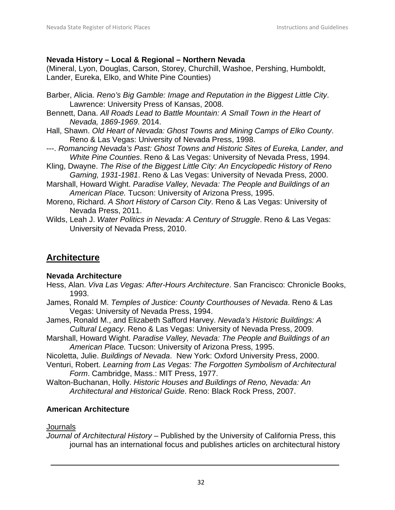#### **Nevada History – Local & Regional – Northern Nevada**

(Mineral, Lyon, Douglas, Carson, Storey, Churchill, Washoe, Pershing, Humboldt, Lander, Eureka, Elko, and White Pine Counties)

- Barber, Alicia. *Reno's Big Gamble: Image and Reputation in the Biggest Little City*. Lawrence: University Press of Kansas, 2008.
- Bennett, Dana. *All Roads Lead to Battle Mountain: A Small Town in the Heart of Nevada, 1869-1969*. 2014.
- Hall, Shawn. *Old Heart of Nevada: Ghost Towns and Mining Camps of Elko County*. Reno & Las Vegas: University of Nevada Press, 1998.
- ---. *Romancing Nevada's Past: Ghost Towns and Historic Sites of Eureka, Lander, and White Pine Counties*. Reno & Las Vegas: University of Nevada Press, 1994.
- Kling, Dwayne. *The Rise of the Biggest Little City: An Encyclopedic History of Reno Gaming, 1931-1981*. Reno & Las Vegas: University of Nevada Press, 2000.
- Marshall, Howard Wight. *Paradise Valley, Nevada: The People and Buildings of an American Place.* Tucson: University of Arizona Press, 1995.
- Moreno, Richard. *A Short History of Carson City*. Reno & Las Vegas: University of Nevada Press, 2011.
- Wilds, Leah J. *Water Politics in Nevada: A Century of Struggle*. Reno & Las Vegas: University of Nevada Press, 2010.

# **Architecture**

#### **Nevada Architecture**

- Hess, Alan. *Viva Las Vegas: After-Hours Architecture*. San Francisco: Chronicle Books, 1993.
- James, Ronald M. *Temples of Justice: County Courthouses of Nevada*. Reno & Las Vegas: University of Nevada Press, 1994.
- James, Ronald M., and Elizabeth Safford Harvey. *Nevada's Historic Buildings: A Cultural Legacy*. Reno & Las Vegas: University of Nevada Press, 2009.
- Marshall, Howard Wight. *Paradise Valley, Nevada: The People and Buildings of an American Place.* Tucson: University of Arizona Press, 1995.
- Nicoletta, Julie. *Buildings of Nevada*. New York: Oxford University Press, 2000.
- Venturi, Robert. *Learning from Las Vegas: The Forgotten Symbolism of Architectural Form*. Cambridge, Mass.: MIT Press, 1977.
- Walton-Buchanan, Holly. *Historic Houses and Buildings of Reno, Nevada: An Architectural and Historical Guide*. Reno: Black Rock Press, 2007.

# **American Architecture**

#### **Journals**

*Journal of Architectural History* – Published by the University of California Press, this journal has an international focus and publishes articles on architectural history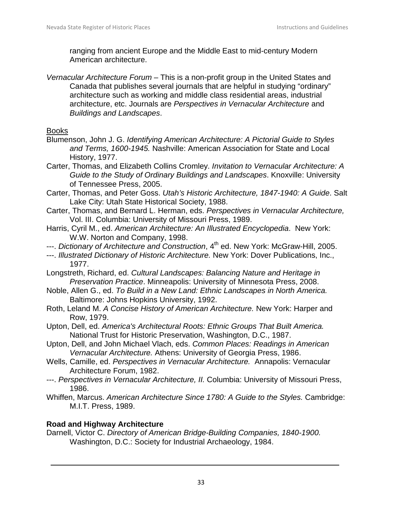ranging from ancient Europe and the Middle East to mid-century Modern American architecture.

*Vernacular Architecture Forum* – This is a non-profit group in the United States and Canada that publishes several journals that are helpful in studying "ordinary" architecture such as working and middle class residential areas, industrial architecture, etc. Journals are *Perspectives in Vernacular Architecture* and *Buildings and Landscapes*.

## Books

- Blumenson, John J. G. *Identifying American Architecture: A Pictorial Guide to Styles and Terms, 1600-1945.* Nashville: American Association for State and Local History, 1977.
- Carter, Thomas, and Elizabeth Collins Cromley. *Invitation to Vernacular Architecture: A Guide to the Study of Ordinary Buildings and Landscapes*. Knoxville: University of Tennessee Press, 2005.
- Carter, Thomas, and Peter Goss. *Utah's Historic Architecture, 1847-1940: A Guide*. Salt Lake City: Utah State Historical Society, 1988.
- Carter, Thomas, and Bernard L. Herman, eds. *Perspectives in Vernacular Architecture,*  Vol. III. Columbia: University of Missouri Press, 1989.
- Harris, Cyril M., ed. *American Architecture: An Illustrated Encyclopedia*. New York: W.W. Norton and Company, 1998.
- ---. *Dictionary of Architecture and Construction*, 4<sup>th</sup> ed. New York: McGraw-Hill, 2005.
- ---. *Illustrated Dictionary of Historic Architecture.* New York: Dover Publications, Inc., 1977.
- Longstreth, Richard, ed. *Cultural Landscapes: Balancing Nature and Heritage in Preservation Practice*. Minneapolis: University of Minnesota Press, 2008.
- Noble, Allen G., ed. *To Build in a New Land: Ethnic Landscapes in North America.* Baltimore: Johns Hopkins University, 1992.
- Roth, Leland M. *A Concise History of American Architecture.* New York: Harper and Row, 1979.
- Upton, Dell, ed. *America's Architectural Roots: Ethnic Groups That Built America.* National Trust for Historic Preservation, Washington, D.C., 1987.
- Upton, Dell, and John Michael Vlach, eds. *Common Places: Readings in American Vernacular Architecture.* Athens: University of Georgia Press, 1986.
- Wells, Camille, ed. *Perspectives in Vernacular Architecture.* Annapolis: Vernacular Architecture Forum, 1982.
- ---. *Perspectives in Vernacular Architecture, II.* Columbia: University of Missouri Press, 1986.
- Whiffen, Marcus. *American Architecture Since 1780: A Guide to the Styles.* Cambridge: M.I.T. Press, 1989.

# **Road and Highway Architecture**

Darnell, Victor C. *Directory of American Bridge-Building Companies, 1840-1900.* Washington, D.C.: Society for Industrial Archaeology, 1984.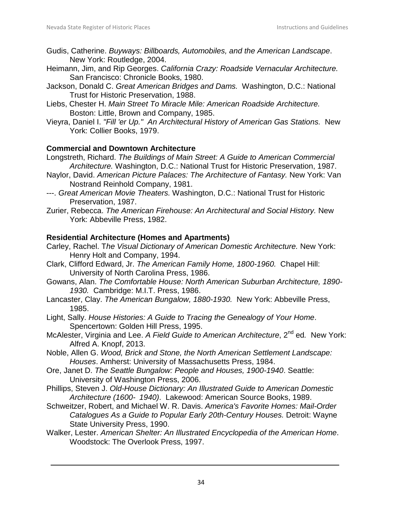- Gudis, Catherine. *Buyways: Billboards, Automobiles, and the American Landscape*. New York: Routledge, 2004.
- Heimann, Jim, and Rip Georges. *California Crazy: Roadside Vernacular Architecture.* San Francisco: Chronicle Books, 1980.
- Jackson, Donald C. *Great American Bridges and Dams.* Washington, D.C.: National Trust for Historic Preservation, 1988.
- Liebs, Chester H. *Main Street To Miracle Mile: American Roadside Architecture.* Boston: Little, Brown and Company, 1985.
- Vieyra, Daniel I. *"Fill 'er Up." An Architectural History of American Gas Stations.* New York: Collier Books, 1979.

#### **Commercial and Downtown Architecture**

- Longstreth, Richard. *The Buildings of Main Street: A Guide to American Commercial Architecture.* Washington, D.C.: National Trust for Historic Preservation, 1987.
- Naylor, David. *American Picture Palaces: The Architecture of Fantasy.* New York: Van Nostrand Reinhold Company, 1981.
- ---. *Great American Movie Theaters.* Washington, D.C.: National Trust for Historic Preservation, 1987.
- Zurier, Rebecca. *The American Firehouse: An Architectural and Social History.* New York: Abbeville Press, 1982.

#### **Residential Architecture (Homes and Apartments)**

- Carley, Rachel. T*he Visual Dictionary of American Domestic Architecture.* New York: Henry Holt and Company, 1994.
- Clark, Clifford Edward, Jr. *The American Family Home, 1800-1960.* Chapel Hill: University of North Carolina Press, 1986.
- Gowans, Alan. *The Comfortable House: North American Suburban Architecture, 1890- 1930.* Cambridge: M.I.T. Press, 1986.
- Lancaster, Clay. *The American Bungalow, 1880-1930.* New York: Abbeville Press, 1985.
- Light, Sally. *House Histories: A Guide to Tracing the Genealogy of Your Home*. Spencertown: Golden Hill Press, 1995.
- McAlester, Virginia and Lee. A Field Guide to American Architecture, 2<sup>nd</sup> ed. New York: Alfred A. Knopf, 2013.
- Noble, Allen G. *Wood, Brick and Stone, the North American Settlement Landscape: Houses*. Amherst: University of Massachusetts Press, 1984.
- Ore, Janet D. *The Seattle Bungalow: People and Houses, 1900-1940*. Seattle: University of Washington Press, 2006.
- Phillips, Steven J. *Old-House Dictionary: An Illustrated Guide to American Domestic Architecture (1600- 1940)*. Lakewood: American Source Books, 1989.
- Schweitzer, Robert, and Michael W. R. Davis. *America's Favorite Homes: Mail-Order Catalogues As a Guide to Popular Early 20th-Century Houses.* Detroit: Wayne State University Press, 1990.
- Walker, Lester. *American Shelter: An Illustrated Encyclopedia of the American Home*. Woodstock: The Overlook Press, 1997.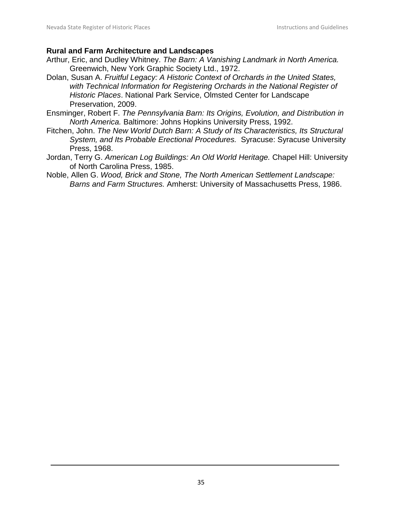#### **Rural and Farm Architecture and Landscapes**

- Arthur, Eric, and Dudley Whitney. *The Barn: A Vanishing Landmark in North America.* Greenwich, New York Graphic Society Ltd., 1972.
- Dolan, Susan A. *Fruitful Legacy: A Historic Context of Orchards in the United States, with Technical Information for Registering Orchards in the National Register of Historic Places*. National Park Service, Olmsted Center for Landscape Preservation, 2009.
- Ensminger, Robert F. *The Pennsylvania Barn: Its Origins, Evolution, and Distribution in North America.* Baltimore: Johns Hopkins University Press, 1992.
- Fitchen, John. *The New World Dutch Barn: A Study of Its Characteristics, Its Structural System, and Its Probable Erectional Procedures.* Syracuse: Syracuse University Press, 1968.
- Jordan, Terry G. *American Log Buildings: An Old World Heritage.* Chapel Hill: University of North Carolina Press, 1985.
- Noble, Allen G. *Wood, Brick and Stone, The North American Settlement Landscape: Barns and Farm Structures.* Amherst: University of Massachusetts Press, 1986.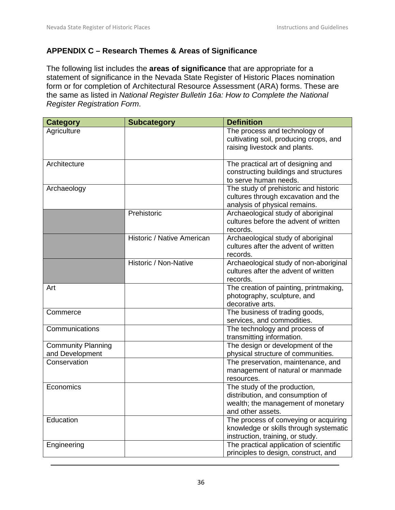## <span id="page-35-0"></span>**APPENDIX C – Research Themes & Areas of Significance**

The following list includes the **areas of significance** that are appropriate for a statement of significance in the Nevada State Register of Historic Places nomination form or for completion of Architectural Resource Assessment (ARA) forms. These are the same as listed in *National Register Bulletin 16a: How to Complete the National Register Registration Form*.

| <b>Category</b>                              | <b>Subcategory</b>         | <b>Definition</b>                                                                                                           |
|----------------------------------------------|----------------------------|-----------------------------------------------------------------------------------------------------------------------------|
| Agriculture                                  |                            | The process and technology of<br>cultivating soil, producing crops, and<br>raising livestock and plants.                    |
| Architecture                                 |                            | The practical art of designing and<br>constructing buildings and structures<br>to serve human needs.                        |
| Archaeology                                  |                            | The study of prehistoric and historic<br>cultures through excavation and the<br>analysis of physical remains.               |
|                                              | Prehistoric                | Archaeological study of aboriginal<br>cultures before the advent of written<br>records.                                     |
|                                              | Historic / Native American | Archaeological study of aboriginal<br>cultures after the advent of written<br>records.                                      |
|                                              | Historic / Non-Native      | Archaeological study of non-aboriginal<br>cultures after the advent of written<br>records.                                  |
| Art                                          |                            | The creation of painting, printmaking,<br>photography, sculpture, and<br>decorative arts.                                   |
| Commerce                                     |                            | The business of trading goods,<br>services, and commodities.                                                                |
| Communications                               |                            | The technology and process of<br>transmitting information.                                                                  |
| <b>Community Planning</b><br>and Development |                            | The design or development of the<br>physical structure of communities.                                                      |
| Conservation                                 |                            | The preservation, maintenance, and<br>management of natural or manmade<br>resources.                                        |
| Economics                                    |                            | The study of the production,<br>distribution, and consumption of<br>wealth; the management of monetary<br>and other assets. |
| Education                                    |                            | The process of conveying or acquiring<br>knowledge or skills through systematic<br>instruction, training, or study.         |
| Engineering                                  |                            | The practical application of scientific<br>principles to design, construct, and                                             |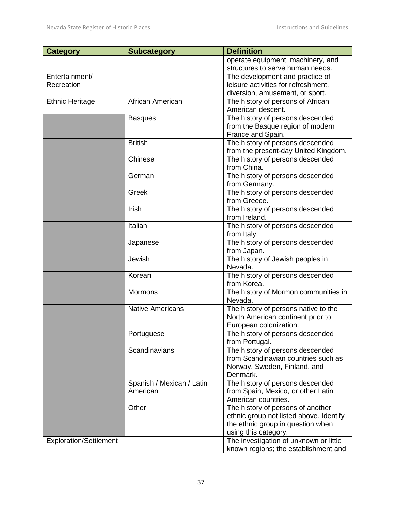| <b>Category</b>               | <b>Subcategory</b>        | <b>Definition</b>                                                            |
|-------------------------------|---------------------------|------------------------------------------------------------------------------|
|                               |                           | operate equipment, machinery, and                                            |
|                               |                           | structures to serve human needs.                                             |
| Entertainment/                |                           | The development and practice of                                              |
| Recreation                    |                           | leisure activities for refreshment,                                          |
|                               |                           | diversion, amusement, or sport.                                              |
| <b>Ethnic Heritage</b>        | African American          | The history of persons of African                                            |
|                               |                           | American descent.                                                            |
|                               | <b>Basques</b>            | The history of persons descended                                             |
|                               |                           | from the Basque region of modern                                             |
|                               |                           | France and Spain.                                                            |
|                               | <b>British</b>            | The history of persons descended                                             |
|                               |                           | from the present-day United Kingdom.                                         |
|                               | Chinese                   | The history of persons descended                                             |
|                               |                           | from China.                                                                  |
|                               | German                    | The history of persons descended                                             |
|                               |                           | from Germany.                                                                |
|                               | Greek                     | The history of persons descended<br>from Greece.                             |
|                               | Irish                     | The history of persons descended                                             |
|                               |                           | from Ireland.                                                                |
|                               | Italian                   | The history of persons descended                                             |
|                               |                           | from Italy.                                                                  |
|                               | Japanese                  | The history of persons descended                                             |
|                               |                           | from Japan.                                                                  |
|                               | Jewish                    | The history of Jewish peoples in                                             |
|                               |                           | Nevada.                                                                      |
|                               | Korean                    | The history of persons descended                                             |
|                               |                           | from Korea.                                                                  |
|                               | Mormons                   | The history of Mormon communities in                                         |
|                               |                           | Nevada.                                                                      |
|                               | <b>Native Americans</b>   | The history of persons native to the                                         |
|                               |                           | North American continent prior to                                            |
|                               |                           | European colonization.                                                       |
|                               | Portuguese                | The history of persons descended                                             |
|                               |                           | from Portugal.                                                               |
|                               | Scandinavians             | The history of persons descended                                             |
|                               |                           | from Scandinavian countries such as                                          |
|                               |                           | Norway, Sweden, Finland, and                                                 |
|                               |                           | Denmark.                                                                     |
|                               | Spanish / Mexican / Latin | The history of persons descended                                             |
|                               | American                  | from Spain, Mexico, or other Latin                                           |
|                               |                           | American countries.                                                          |
|                               | Other                     | The history of persons of another                                            |
|                               |                           | ethnic group not listed above. Identify<br>the ethnic group in question when |
|                               |                           | using this category.                                                         |
| <b>Exploration/Settlement</b> |                           | The investigation of unknown or little                                       |
|                               |                           | known regions; the establishment and                                         |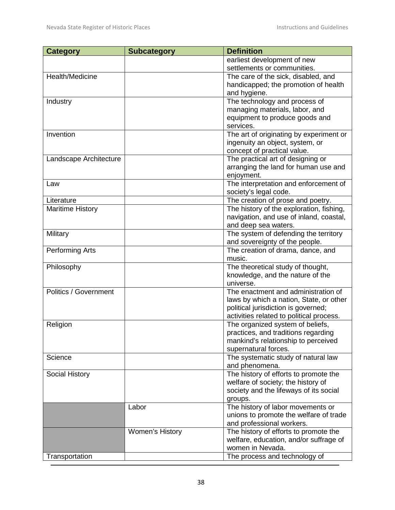| <b>Category</b>         | <b>Subcategory</b> | <b>Definition</b>                           |
|-------------------------|--------------------|---------------------------------------------|
|                         |                    | earliest development of new                 |
|                         |                    | settlements or communities.                 |
| Health/Medicine         |                    | The care of the sick, disabled, and         |
|                         |                    | handicapped; the promotion of health        |
|                         |                    | and hygiene.                                |
| Industry                |                    | The technology and process of               |
|                         |                    | managing materials, labor, and              |
|                         |                    | equipment to produce goods and              |
|                         |                    | services.                                   |
| Invention               |                    | The art of originating by experiment or     |
|                         |                    | ingenuity an object, system, or             |
|                         |                    | concept of practical value.                 |
| Landscape Architecture  |                    | The practical art of designing or           |
|                         |                    | arranging the land for human use and        |
|                         |                    | enjoyment.                                  |
| Law                     |                    | The interpretation and enforcement of       |
|                         |                    | society's legal code.                       |
| Literature              |                    | The creation of prose and poetry.           |
| <b>Maritime History</b> |                    | The history of the exploration, fishing,    |
|                         |                    | navigation, and use of inland, coastal,     |
|                         |                    | and deep sea waters.                        |
| Military                |                    | The system of defending the territory       |
|                         |                    |                                             |
|                         |                    | and sovereignty of the people.              |
| Performing Arts         |                    | The creation of drama, dance, and<br>music. |
|                         |                    |                                             |
| Philosophy              |                    | The theoretical study of thought,           |
|                         |                    | knowledge, and the nature of the            |
| Politics / Government   |                    | universe.                                   |
|                         |                    | The enactment and administration of         |
|                         |                    | laws by which a nation, State, or other     |
|                         |                    | political jurisdiction is governed;         |
|                         |                    | activities related to political process.    |
| Religion                |                    | The organized system of beliefs,            |
|                         |                    | practices, and traditions regarding         |
|                         |                    | mankind's relationship to perceived         |
|                         |                    | supernatural forces.                        |
| Science                 |                    | The systematic study of natural law         |
|                         |                    | and phenomena.                              |
| Social History          |                    | The history of efforts to promote the       |
|                         |                    | welfare of society; the history of          |
|                         |                    | society and the lifeways of its social      |
|                         |                    | groups.                                     |
|                         | Labor              | The history of labor movements or           |
|                         |                    | unions to promote the welfare of trade      |
|                         |                    | and professional workers.                   |
|                         | Women's History    | The history of efforts to promote the       |
|                         |                    | welfare, education, and/or suffrage of      |
|                         |                    | women in Nevada.                            |
| Transportation          |                    | The process and technology of               |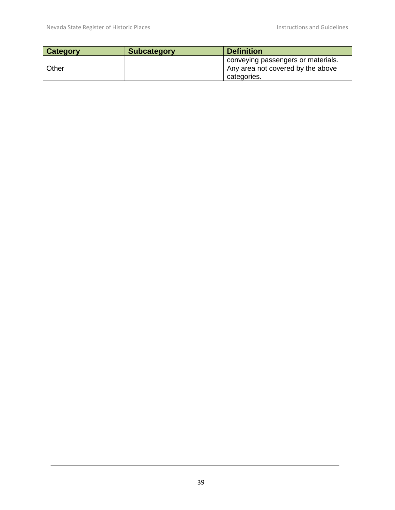| <b>Category</b> | <b>Subcategory</b> | <b>Definition</b>                                |
|-----------------|--------------------|--------------------------------------------------|
|                 |                    | conveying passengers or materials.               |
| Other           |                    | Any area not covered by the above<br>categories. |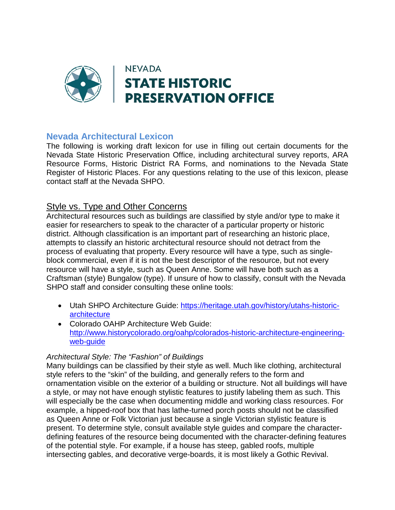

# **Nevada Architectural Lexicon**

The following is working draft lexicon for use in filling out certain documents for the Nevada State Historic Preservation Office, including architectural survey reports, ARA Resource Forms, Historic District RA Forms, and nominations to the Nevada State Register of Historic Places. For any questions relating to the use of this lexicon, please contact staff at the Nevada SHPO.

## Style vs. Type and Other Concerns

Architectural resources such as buildings are classified by style and/or type to make it easier for researchers to speak to the character of a particular property or historic district. Although classification is an important part of researching an historic place, attempts to classify an historic architectural resource should not detract from the process of evaluating that property. Every resource will have a type, such as singleblock commercial, even if it is not the best descriptor of the resource, but not every resource will have a style, such as Queen Anne. Some will have both such as a Craftsman (style) Bungalow (type). If unsure of how to classify, consult with the Nevada SHPO staff and consider consulting these online tools:

- Utah SHPO Architecture Guide: [https://heritage.utah.gov/history/utahs-historic](https://heritage.utah.gov/history/utahs-historic-architecture)[architecture](https://heritage.utah.gov/history/utahs-historic-architecture)
- Colorado OAHP Architecture Web Guide: [http://www.historycolorado.org/oahp/colorados-historic-architecture-engineering](http://www.historycolorado.org/oahp/colorados-historic-architecture-engineering-web-guide)[web-guide](http://www.historycolorado.org/oahp/colorados-historic-architecture-engineering-web-guide)

#### *Architectural Style: The "Fashion" of Buildings*

Many buildings can be classified by their style as well. Much like clothing, architectural style refers to the "skin" of the building, and generally refers to the form and ornamentation visible on the exterior of a building or structure. Not all buildings will have a style, or may not have enough stylistic features to justify labeling them as such. This will especially be the case when documenting middle and working class resources. For example, a hipped-roof box that has lathe-turned porch posts should not be classified as Queen Anne or Folk Victorian just because a single Victorian stylistic feature is present. To determine style, consult available style guides and compare the characterdefining features of the resource being documented with the character-defining features of the potential style. For example, if a house has steep, gabled roofs, multiple intersecting gables, and decorative verge-boards, it is most likely a Gothic Revival.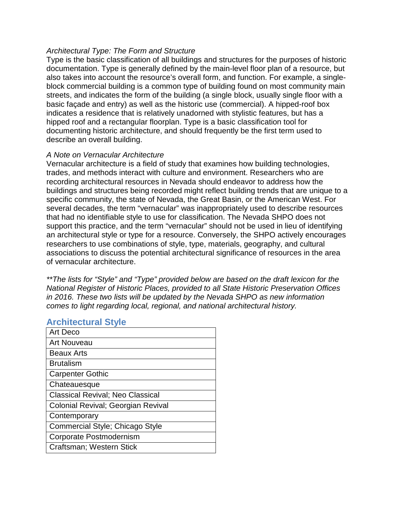#### *Architectural Type: The Form and Structure*

Type is the basic classification of all buildings and structures for the purposes of historic documentation. Type is generally defined by the main-level floor plan of a resource, but also takes into account the resource's overall form, and function. For example, a singleblock commercial building is a common type of building found on most community main streets, and indicates the form of the building (a single block, usually single floor with a basic façade and entry) as well as the historic use (commercial). A hipped-roof box indicates a residence that is relatively unadorned with stylistic features, but has a hipped roof and a rectangular floorplan. Type is a basic classification tool for documenting historic architecture, and should frequently be the first term used to describe an overall building.

#### *A Note on Vernacular Architecture*

Vernacular architecture is a field of study that examines how building technologies, trades, and methods interact with culture and environment. Researchers who are recording architectural resources in Nevada should endeavor to address how the buildings and structures being recorded might reflect building trends that are unique to a specific community, the state of Nevada, the Great Basin, or the American West. For several decades, the term "vernacular" was inappropriately used to describe resources that had no identifiable style to use for classification. The Nevada SHPO does not support this practice, and the term "vernacular" should not be used in lieu of identifying an architectural style or type for a resource. Conversely, the SHPO actively encourages researchers to use combinations of style, type, materials, geography, and cultural associations to discuss the potential architectural significance of resources in the area of vernacular architecture.

*\*\*The lists for "Style" and "Type" provided below are based on the draft lexicon for the National Register of Historic Places, provided to all State Historic Preservation Offices in 2016. These two lists will be updated by the Nevada SHPO as new information comes to light regarding local, regional, and national architectural history.* 

#### **Architectural Style**

| Art Deco                                |
|-----------------------------------------|
| Art Nouveau                             |
| <b>Beaux Arts</b>                       |
| <b>Brutalism</b>                        |
| <b>Carpenter Gothic</b>                 |
| Chateauesque                            |
| <b>Classical Revival; Neo Classical</b> |
| Colonial Revival; Georgian Revival      |
| Contemporary                            |
| Commercial Style; Chicago Style         |
| Corporate Postmodernism                 |
| Craftsman; Western Stick                |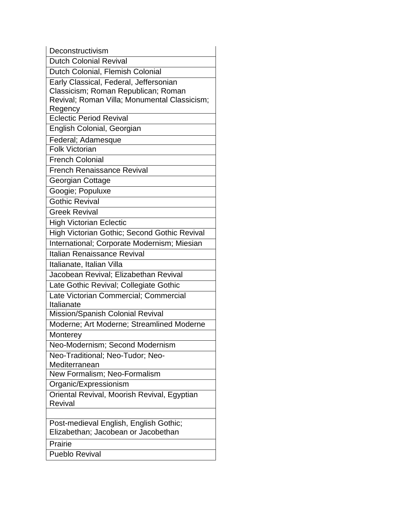| Deconstructivism                                                                                                                         |
|------------------------------------------------------------------------------------------------------------------------------------------|
| <b>Dutch Colonial Revival</b>                                                                                                            |
| Dutch Colonial, Flemish Colonial                                                                                                         |
| Early Classical, Federal, Jeffersonian<br>Classicism; Roman Republican; Roman<br>Revival; Roman Villa; Monumental Classicism;<br>Regency |
| Eclectic Period Revival                                                                                                                  |
| English Colonial, Georgian                                                                                                               |
| Federal; Adamesque                                                                                                                       |
| <b>Folk Victorian</b>                                                                                                                    |
| <b>French Colonial</b>                                                                                                                   |
| <b>French Renaissance Revival</b>                                                                                                        |
| Georgian Cottage                                                                                                                         |
| Googie; Populuxe                                                                                                                         |
| <b>Gothic Revival</b>                                                                                                                    |
| <b>Greek Revival</b>                                                                                                                     |
| <b>High Victorian Eclectic</b>                                                                                                           |
| High Victorian Gothic; Second Gothic Revival                                                                                             |
| International; Corporate Modernism; Miesian                                                                                              |
| Italian Renaissance Revival                                                                                                              |
| Italianate, Italian Villa                                                                                                                |
| Jacobean Revival; Elizabethan Revival                                                                                                    |
| Late Gothic Revival; Collegiate Gothic                                                                                                   |
| Late Victorian Commercial; Commercial<br>Italianate                                                                                      |
| Mission/Spanish Colonial Revival                                                                                                         |
| Moderne; Art Moderne; Streamlined Moderne                                                                                                |
| Monterey                                                                                                                                 |
| Neo-Modernism; Second Modernism                                                                                                          |
| Neo-Traditional; Neo-Tudor; Neo-                                                                                                         |
| Mediterranean                                                                                                                            |
| New Formalism; Neo-Formalism                                                                                                             |
| Organic/Expressionism                                                                                                                    |
| Oriental Revival, Moorish Revival, Egyptian<br><b>Revival</b>                                                                            |
|                                                                                                                                          |
| Post-medieval English, English Gothic;<br>Elizabethan; Jacobean or Jacobethan                                                            |
| Prairie                                                                                                                                  |
| <b>Pueblo Revival</b>                                                                                                                    |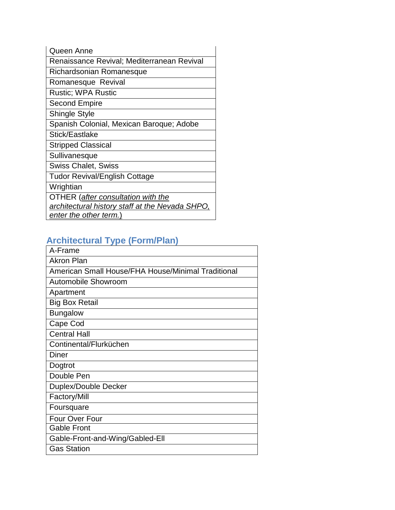| Queen Anne                                    |
|-----------------------------------------------|
| Renaissance Revival; Mediterranean Revival    |
| Richardsonian Romanesque                      |
| Romanesque Revival                            |
| <b>Rustic: WPA Rustic</b>                     |
| Second Empire                                 |
| <b>Shingle Style</b>                          |
| Spanish Colonial, Mexican Baroque; Adobe      |
| Stick/Eastlake                                |
| <b>Stripped Classical</b>                     |
| Sullivanesque                                 |
| <b>Swiss Chalet, Swiss</b>                    |
| <b>Tudor Revival/English Cottage</b>          |
| Wrightian                                     |
| OTHER (after consultation with the            |
| architectural history staff at the Nevada SHI |
| enter the other term.)                        |

# **Architectural Type (Form/Plan)**

| A-Frame                                            |
|----------------------------------------------------|
| <b>Akron Plan</b>                                  |
| American Small House/FHA House/Minimal Traditional |
| Automobile Showroom                                |
| Apartment                                          |
| <b>Big Box Retail</b>                              |
| <b>Bungalow</b>                                    |
| Cape Cod                                           |
| <b>Central Hall</b>                                |
| Continental/Flurküchen                             |
| <b>Diner</b>                                       |
| Dogtrot                                            |
| Double Pen                                         |
| Duplex/Double Decker                               |
| Factory/Mill                                       |
| Foursquare                                         |
| Four Over Four                                     |
| <b>Gable Front</b>                                 |
| Gable-Front-and-Wing/Gabled-Ell                    |
| <b>Gas Station</b>                                 |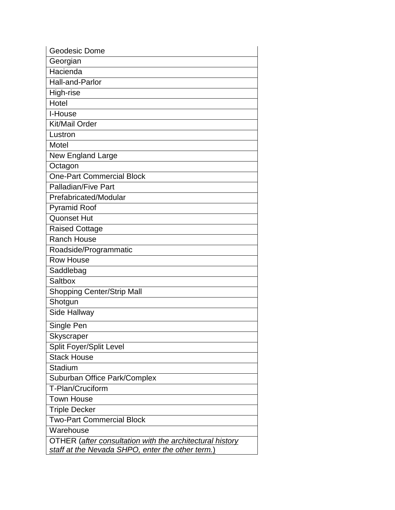| Geodesic Dome                                            |
|----------------------------------------------------------|
| Georgian                                                 |
| Hacienda                                                 |
| <b>Hall-and-Parlor</b>                                   |
| High-rise                                                |
| Hotel                                                    |
| I-House                                                  |
| Kit/Mail Order                                           |
| Lustron                                                  |
| Motel                                                    |
| New England Large                                        |
| Octagon                                                  |
| <b>One-Part Commercial Block</b>                         |
| Palladian/Five Part                                      |
| Prefabricated/Modular                                    |
| <b>Pyramid Roof</b>                                      |
| <b>Quonset Hut</b>                                       |
| <b>Raised Cottage</b>                                    |
| <b>Ranch House</b>                                       |
| Roadside/Programmatic                                    |
| <b>Row House</b>                                         |
| Saddlebag                                                |
| <b>Saltbox</b>                                           |
| Shopping Center/Strip Mall                               |
| Shotgun                                                  |
| Side Hallway                                             |
| Single Pen                                               |
| Skyscraper                                               |
| <b>Split Foyer/Split Level</b>                           |
| <b>Stack House</b>                                       |
| <b>Stadium</b>                                           |
| Suburban Office Park/Complex                             |
| T-Plan/Cruciform                                         |
| <b>Town House</b>                                        |
| Triple Decker                                            |
| <b>Two-Part Commercial Block</b>                         |
| Warehouse                                                |
| OTHER (after consultation with the architectural history |
| staff at the Nevada SHPO, enter the other term.)         |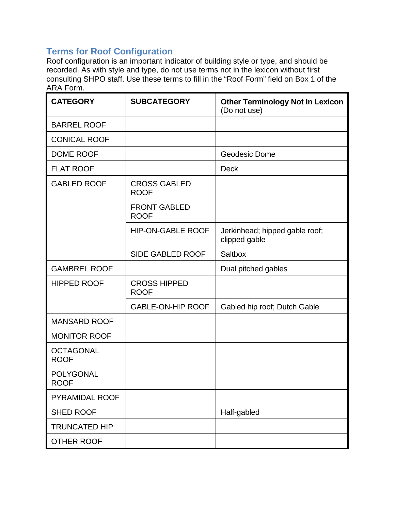# **Terms for Roof Configuration**

Roof configuration is an important indicator of building style or type, and should be recorded. As with style and type, do not use terms not in the lexicon without first consulting SHPO staff. Use these terms to fill in the "Roof Form" field on Box 1 of the ARA Form.

| <b>CATEGORY</b>                 | <b>SUBCATEGORY</b>                 | <b>Other Terminology Not In Lexicon</b><br>(Do not use) |
|---------------------------------|------------------------------------|---------------------------------------------------------|
| <b>BARREL ROOF</b>              |                                    |                                                         |
| <b>CONICAL ROOF</b>             |                                    |                                                         |
| <b>DOME ROOF</b>                |                                    | Geodesic Dome                                           |
| <b>FLAT ROOF</b>                |                                    | <b>Deck</b>                                             |
| <b>GABLED ROOF</b>              | <b>CROSS GABLED</b><br><b>ROOF</b> |                                                         |
|                                 | <b>FRONT GABLED</b><br><b>ROOF</b> |                                                         |
|                                 | <b>HIP-ON-GABLE ROOF</b>           | Jerkinhead; hipped gable roof;<br>clipped gable         |
|                                 | <b>SIDE GABLED ROOF</b>            | Saltbox                                                 |
| <b>GAMBREL ROOF</b>             |                                    | Dual pitched gables                                     |
| <b>HIPPED ROOF</b>              | <b>CROSS HIPPED</b><br><b>ROOF</b> |                                                         |
|                                 | <b>GABLE-ON-HIP ROOF</b>           | Gabled hip roof; Dutch Gable                            |
| <b>MANSARD ROOF</b>             |                                    |                                                         |
| <b>MONITOR ROOF</b>             |                                    |                                                         |
| <b>OCTAGONAL</b><br><b>ROOF</b> |                                    |                                                         |
| <b>POLYGONAL</b><br><b>ROOF</b> |                                    |                                                         |
| <b>PYRAMIDAL ROOF</b>           |                                    |                                                         |
| <b>SHED ROOF</b>                |                                    | Half-gabled                                             |
| <b>TRUNCATED HIP</b>            |                                    |                                                         |
| OTHER ROOF                      |                                    |                                                         |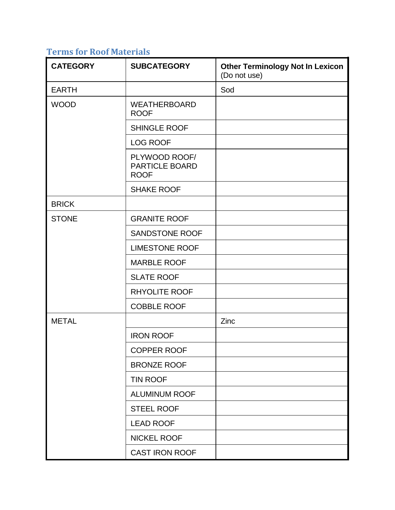# **Terms for Roof Materials**

| <b>CATEGORY</b> | <b>SUBCATEGORY</b>                                    | <b>Other Terminology Not In Lexicon</b><br>(Do not use) |
|-----------------|-------------------------------------------------------|---------------------------------------------------------|
| <b>EARTH</b>    |                                                       | Sod                                                     |
| <b>WOOD</b>     | <b>WEATHERBOARD</b><br><b>ROOF</b>                    |                                                         |
|                 | <b>SHINGLE ROOF</b>                                   |                                                         |
|                 | <b>LOG ROOF</b>                                       |                                                         |
|                 | PLYWOOD ROOF/<br><b>PARTICLE BOARD</b><br><b>ROOF</b> |                                                         |
|                 | <b>SHAKE ROOF</b>                                     |                                                         |
| <b>BRICK</b>    |                                                       |                                                         |
| <b>STONE</b>    | <b>GRANITE ROOF</b>                                   |                                                         |
|                 | <b>SANDSTONE ROOF</b>                                 |                                                         |
|                 | <b>LIMESTONE ROOF</b>                                 |                                                         |
|                 | <b>MARBLE ROOF</b>                                    |                                                         |
|                 | <b>SLATE ROOF</b>                                     |                                                         |
|                 | <b>RHYOLITE ROOF</b>                                  |                                                         |
|                 | <b>COBBLE ROOF</b>                                    |                                                         |
| <b>METAL</b>    |                                                       | Zinc                                                    |
|                 | <b>IRON ROOF</b>                                      |                                                         |
|                 | <b>COPPER ROOF</b>                                    |                                                         |
|                 | <b>BRONZE ROOF</b>                                    |                                                         |
|                 | <b>TIN ROOF</b>                                       |                                                         |
|                 | <b>ALUMINUM ROOF</b>                                  |                                                         |
|                 | <b>STEEL ROOF</b>                                     |                                                         |
|                 | <b>LEAD ROOF</b>                                      |                                                         |
|                 | <b>NICKEL ROOF</b>                                    |                                                         |
|                 | CAST IRON ROOF                                        |                                                         |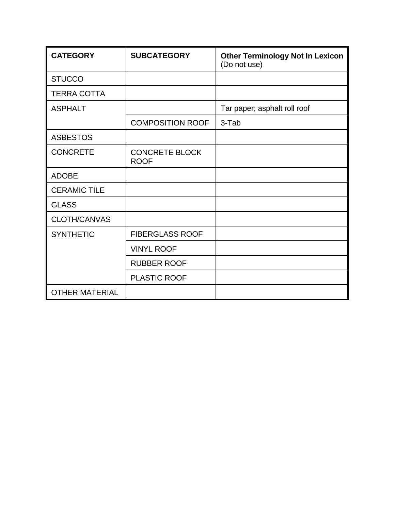| <b>CATEGORY</b>       | <b>SUBCATEGORY</b>                   | <b>Other Terminology Not In Lexicon</b><br>(Do not use) |
|-----------------------|--------------------------------------|---------------------------------------------------------|
| <b>STUCCO</b>         |                                      |                                                         |
| <b>TERRA COTTA</b>    |                                      |                                                         |
| <b>ASPHALT</b>        |                                      | Tar paper; asphalt roll roof                            |
|                       | <b>COMPOSITION ROOF</b>              | 3-Tab                                                   |
| <b>ASBESTOS</b>       |                                      |                                                         |
| <b>CONCRETE</b>       | <b>CONCRETE BLOCK</b><br><b>ROOF</b> |                                                         |
| <b>ADOBE</b>          |                                      |                                                         |
| <b>CERAMIC TILE</b>   |                                      |                                                         |
| <b>GLASS</b>          |                                      |                                                         |
| <b>CLOTH/CANVAS</b>   |                                      |                                                         |
| <b>SYNTHETIC</b>      | <b>FIBERGLASS ROOF</b>               |                                                         |
|                       | <b>VINYL ROOF</b>                    |                                                         |
|                       | <b>RUBBER ROOF</b>                   |                                                         |
|                       | <b>PLASTIC ROOF</b>                  |                                                         |
| <b>OTHER MATERIAL</b> |                                      |                                                         |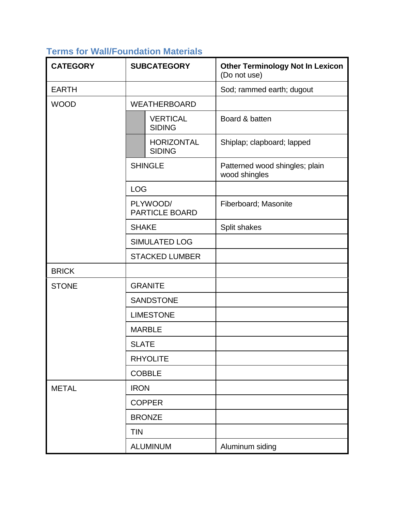# **Terms for Wall/Foundation Materials**

| <b>CATEGORY</b> | <b>SUBCATEGORY</b>                 | <b>Other Terminology Not In Lexicon</b><br>(Do not use) |
|-----------------|------------------------------------|---------------------------------------------------------|
| <b>EARTH</b>    |                                    | Sod; rammed earth; dugout                               |
| <b>WOOD</b>     | <b>WEATHERBOARD</b>                |                                                         |
|                 | <b>VERTICAL</b><br><b>SIDING</b>   | Board & batten                                          |
|                 | <b>HORIZONTAL</b><br><b>SIDING</b> | Shiplap; clapboard; lapped                              |
|                 | <b>SHINGLE</b>                     | Patterned wood shingles; plain<br>wood shingles         |
|                 | <b>LOG</b>                         |                                                         |
|                 | PLYWOOD/<br><b>PARTICLE BOARD</b>  | Fiberboard; Masonite                                    |
|                 | <b>SHAKE</b>                       | Split shakes                                            |
|                 | <b>SIMULATED LOG</b>               |                                                         |
|                 | <b>STACKED LUMBER</b>              |                                                         |
| <b>BRICK</b>    |                                    |                                                         |
| <b>STONE</b>    | <b>GRANITE</b>                     |                                                         |
|                 | <b>SANDSTONE</b>                   |                                                         |
|                 | <b>LIMESTONE</b>                   |                                                         |
|                 | <b>MARBLE</b>                      |                                                         |
|                 | <b>SLATE</b>                       |                                                         |
|                 | <b>RHYOLITE</b>                    |                                                         |
|                 | <b>COBBLE</b>                      |                                                         |
| <b>METAL</b>    | <b>IRON</b>                        |                                                         |
|                 | <b>COPPER</b>                      |                                                         |
|                 | <b>BRONZE</b>                      |                                                         |
|                 | <b>TIN</b>                         |                                                         |
|                 | <b>ALUMINUM</b>                    | Aluminum siding                                         |